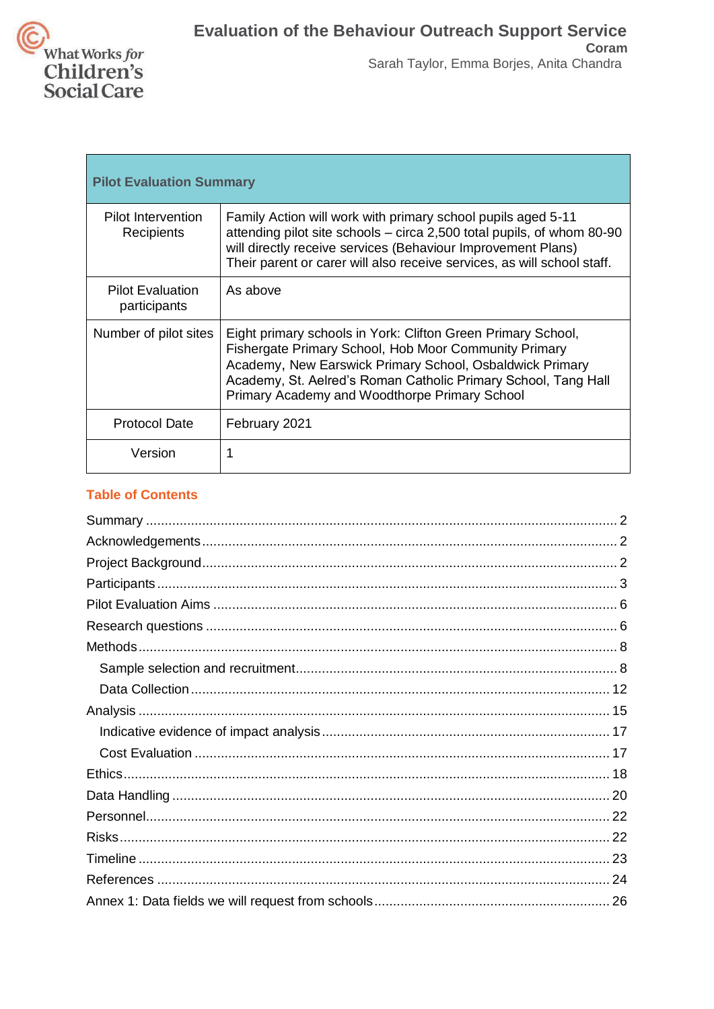

| <b>Pilot Evaluation Summary</b>         |                                                                                                                                                                                                                                                                                                      |  |
|-----------------------------------------|------------------------------------------------------------------------------------------------------------------------------------------------------------------------------------------------------------------------------------------------------------------------------------------------------|--|
| Pilot Intervention<br>Recipients        | Family Action will work with primary school pupils aged 5-11<br>attending pilot site schools – circa 2,500 total pupils, of whom 80-90<br>will directly receive services (Behaviour Improvement Plans)<br>Their parent or carer will also receive services, as will school staff.                    |  |
| <b>Pilot Evaluation</b><br>participants | As above                                                                                                                                                                                                                                                                                             |  |
| Number of pilot sites                   | Eight primary schools in York: Clifton Green Primary School,<br>Fishergate Primary School, Hob Moor Community Primary<br>Academy, New Earswick Primary School, Osbaldwick Primary<br>Academy, St. Aelred's Roman Catholic Primary School, Tang Hall<br>Primary Academy and Woodthorpe Primary School |  |
| <b>Protocol Date</b>                    | February 2021                                                                                                                                                                                                                                                                                        |  |
| Version                                 |                                                                                                                                                                                                                                                                                                      |  |

# **Table of Contents**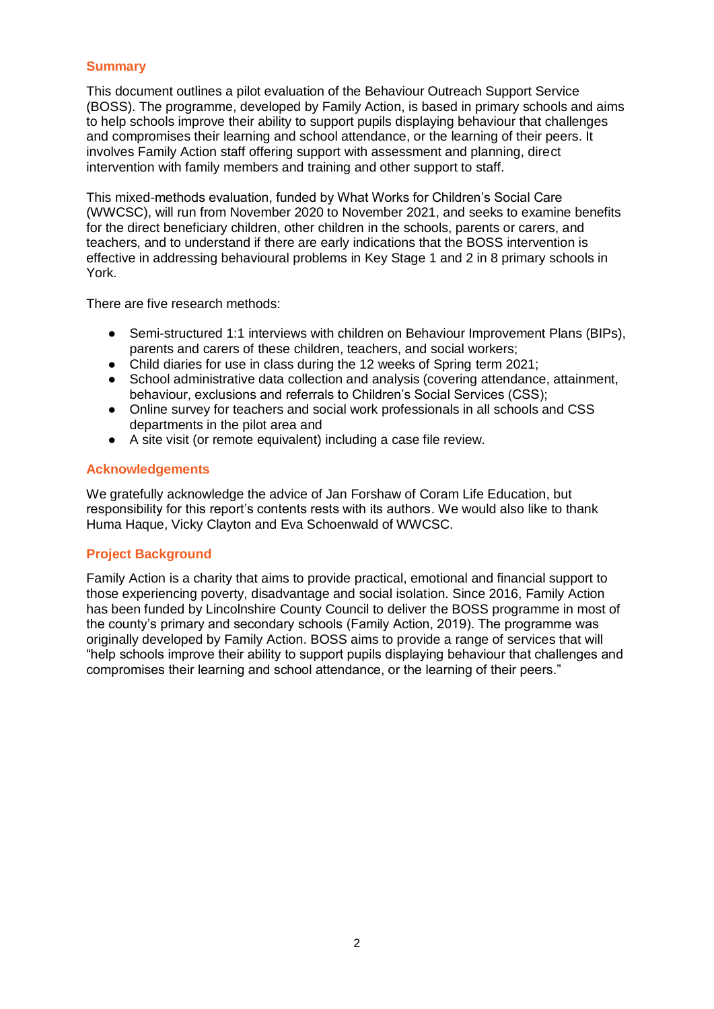### <span id="page-1-0"></span>**Summary**

This document outlines a pilot evaluation of the Behaviour Outreach Support Service (BOSS). The programme, developed by Family Action, is based in primary schools and aims to help schools improve their ability to support pupils displaying behaviour that challenges and compromises their learning and school attendance, or the learning of their peers. It involves Family Action staff offering support with assessment and planning, direct intervention with family members and training and other support to staff.

This mixed-methods evaluation, funded by What Works for Children's Social Care (WWCSC), will run from November 2020 to November 2021, and seeks to examine benefits for the direct beneficiary children, other children in the schools, parents or carers, and teachers, and to understand if there are early indications that the BOSS intervention is effective in addressing behavioural problems in Key Stage 1 and 2 in 8 primary schools in York.

There are five research methods:

- Semi-structured 1:1 interviews with children on Behaviour Improvement Plans (BIPs), parents and carers of these children, teachers, and social workers;
- Child diaries for use in class during the 12 weeks of Spring term 2021;
- School administrative data collection and analysis (covering attendance, attainment, behaviour, exclusions and referrals to Children's Social Services (CSS);
- Online survey for teachers and social work professionals in all schools and CSS departments in the pilot area and
- A site visit (or remote equivalent) including a case file review.

### <span id="page-1-1"></span>**Acknowledgements**

We gratefully acknowledge the advice of Jan Forshaw of Coram Life Education, but responsibility for this report's contents rests with its authors. We would also like to thank Huma Haque, Vicky Clayton and Eva Schoenwald of WWCSC.

### <span id="page-1-2"></span>**Project Background**

Family Action is a charity that aims to provide practical, emotional and financial support to those experiencing poverty, disadvantage and social isolation. Since 2016, Family Action has been funded by Lincolnshire County Council to deliver the BOSS programme in most of the county's primary and secondary schools (Family Action, 2019). The programme was originally developed by Family Action. BOSS aims to provide a range of services that will "help schools improve their ability to support pupils displaying behaviour that challenges and compromises their learning and school attendance, or the learning of their peers."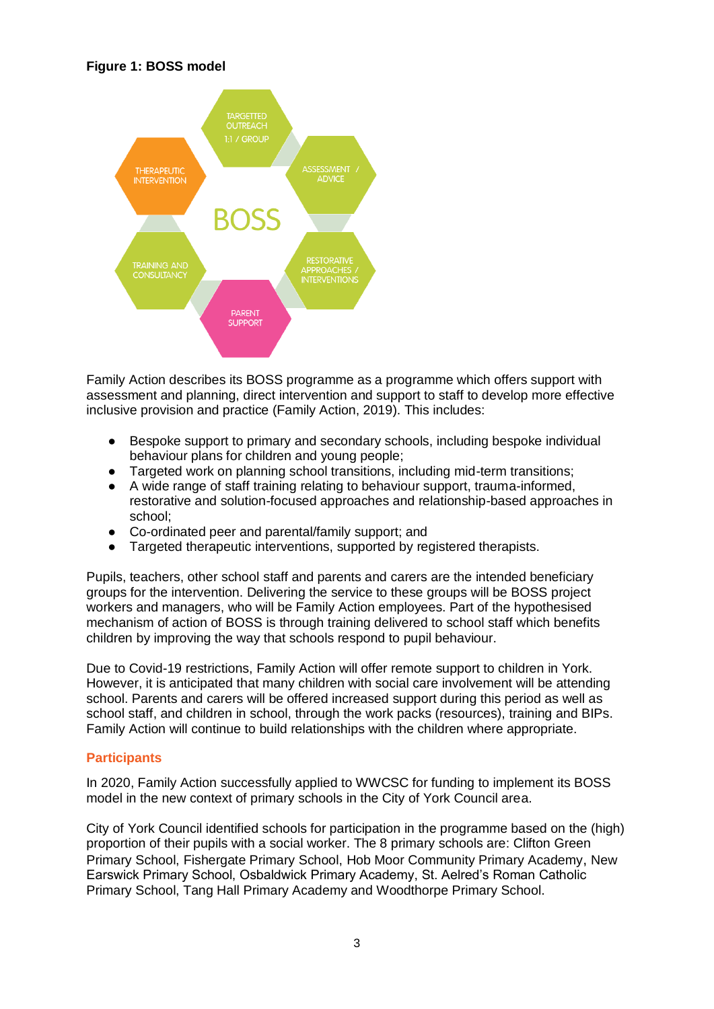# **Figure 1: BOSS model**



Family Action describes its BOSS programme as a programme which offers support with assessment and planning, direct intervention and support to staff to develop more effective inclusive provision and practice (Family Action, 2019). This includes:

- Bespoke support to primary and secondary schools, including bespoke individual behaviour plans for children and young people;
- Targeted work on planning school transitions, including mid-term transitions;
- A wide range of staff training relating to behaviour support, trauma-informed, restorative and solution-focused approaches and relationship-based approaches in school;
- Co-ordinated peer and parental/family support; and
- Targeted therapeutic interventions, supported by registered therapists.

Pupils, teachers, other school staff and parents and carers are the intended beneficiary groups for the intervention. Delivering the service to these groups will be BOSS project workers and managers, who will be Family Action employees. Part of the hypothesised mechanism of action of BOSS is through training delivered to school staff which benefits children by improving the way that schools respond to pupil behaviour.

Due to Covid-19 restrictions, Family Action will offer remote support to children in York. However, it is anticipated that many children with social care involvement will be attending school. Parents and carers will be offered increased support during this period as well as school staff, and children in school, through the work packs (resources), training and BIPs. Family Action will continue to build relationships with the children where appropriate.

# <span id="page-2-0"></span>**Participants**

In 2020, Family Action successfully applied to WWCSC for funding to implement its BOSS model in the new context of primary schools in the City of York Council area.

City of York Council identified schools for participation in the programme based on the (high) proportion of their pupils with a social worker. The 8 primary schools are: Clifton Green Primary School, Fishergate Primary School, Hob Moor Community Primary Academy, New Earswick Primary School, Osbaldwick Primary Academy, St. Aelred's Roman Catholic Primary School, Tang Hall Primary Academy and Woodthorpe Primary School.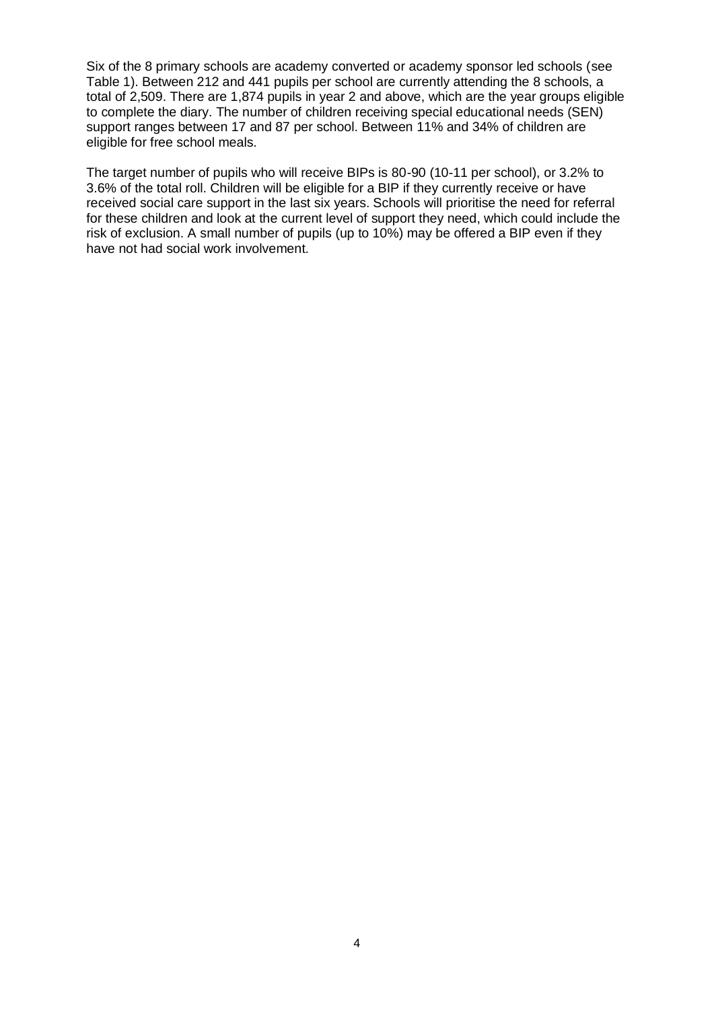Six of the 8 primary schools are academy converted or academy sponsor led schools (see Table 1). Between 212 and 441 pupils per school are currently attending the 8 schools, a total of 2,509. There are 1,874 pupils in year 2 and above, which are the year groups eligible to complete the diary. The number of children receiving special educational needs (SEN) support ranges between 17 and 87 per school. Between 11% and 34% of children are eligible for free school meals.

The target number of pupils who will receive BIPs is 80-90 (10-11 per school), or 3.2% to 3.6% of the total roll. Children will be eligible for a BIP if they currently receive or have received social care support in the last six years. Schools will prioritise the need for referral for these children and look at the current level of support they need, which could include the risk of exclusion. A small number of pupils (up to 10%) may be offered a BIP even if they have not had social work involvement.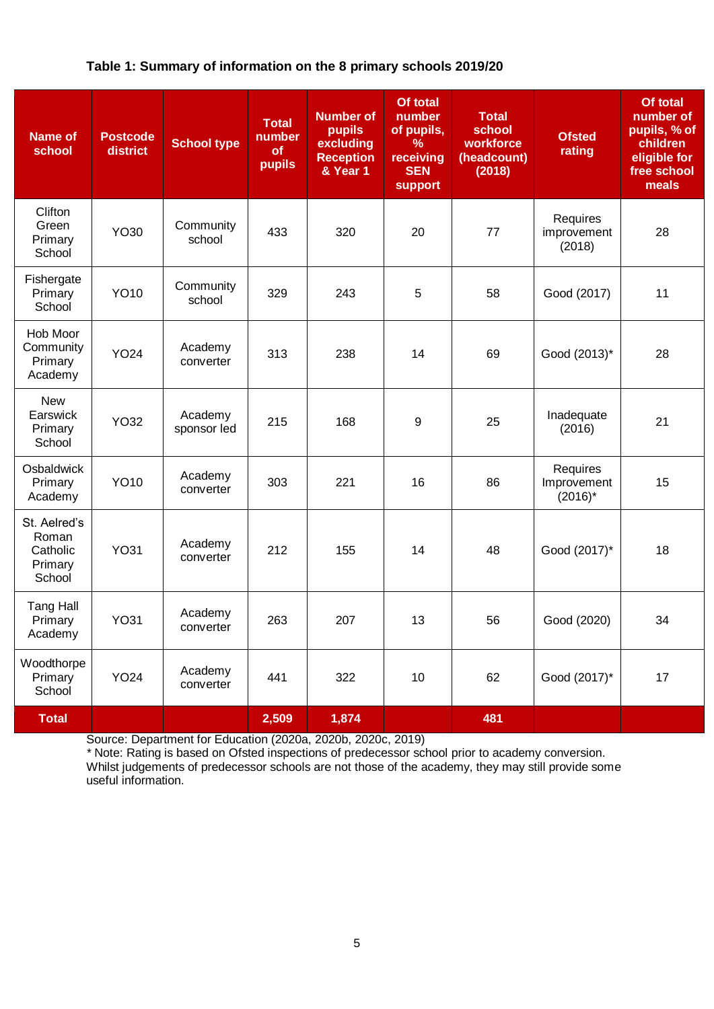# **Table 1: Summary of information on the 8 primary schools 2019/20**

| <b>Name of</b><br>school                               | <b>Postcode</b><br>district | <b>School type</b>     | <b>Total</b><br>number<br>of<br>pupils | <b>Number of</b><br>pupils<br>excluding<br><b>Reception</b><br>& Year 1 | Of total<br>number<br>of pupils,<br>℅<br>receiving<br><b>SEN</b><br><b>support</b> | <b>Total</b><br>school<br>workforce<br>(headcount)<br>(2018) | <b>Ofsted</b><br>rating               | Of total<br>number of<br>pupils, % of<br>children<br>eligible for<br>free school<br>meals |
|--------------------------------------------------------|-----------------------------|------------------------|----------------------------------------|-------------------------------------------------------------------------|------------------------------------------------------------------------------------|--------------------------------------------------------------|---------------------------------------|-------------------------------------------------------------------------------------------|
| Clifton<br>Green<br>Primary<br>School                  | YO30                        | Community<br>school    | 433                                    | 320                                                                     | 20                                                                                 | 77                                                           | Requires<br>improvement<br>(2018)     | 28                                                                                        |
| Fishergate<br>Primary<br>School                        | <b>YO10</b>                 | Community<br>school    | 329                                    | 243                                                                     | 5                                                                                  | 58                                                           | Good (2017)                           | 11                                                                                        |
| Hob Moor<br>Community<br>Primary<br>Academy            | <b>YO24</b>                 | Academy<br>converter   | 313                                    | 238                                                                     | 14                                                                                 | 69                                                           | Good (2013)*                          | 28                                                                                        |
| <b>New</b><br>Earswick<br>Primary<br>School            | <b>YO32</b>                 | Academy<br>sponsor led | 215                                    | 168                                                                     | 9                                                                                  | 25                                                           | Inadequate<br>(2016)                  | 21                                                                                        |
| Osbaldwick<br>Primary<br>Academy                       | <b>YO10</b>                 | Academy<br>converter   | 303                                    | 221                                                                     | 16                                                                                 | 86                                                           | Requires<br>Improvement<br>$(2016)^*$ | 15                                                                                        |
| St. Aelred's<br>Roman<br>Catholic<br>Primary<br>School | <b>YO31</b>                 | Academy<br>converter   | 212                                    | 155                                                                     | 14                                                                                 | 48                                                           | Good (2017)*                          | 18                                                                                        |
| <b>Tang Hall</b><br>Primary<br>Academy                 | YO31                        | Academy<br>converter   | 263                                    | 207                                                                     | 13                                                                                 | 56                                                           | Good (2020)                           | 34                                                                                        |
| Woodthorpe<br>Primary<br>School                        | <b>YO24</b>                 | Academy<br>converter   | 441                                    | 322                                                                     | 10                                                                                 | 62                                                           | Good (2017)*                          | 17                                                                                        |
| <b>Total</b>                                           |                             |                        | 2,509                                  | 1,874                                                                   |                                                                                    | 481                                                          |                                       |                                                                                           |

Source: Department for Education (2020a, 2020b, 2020c, 2019)

*\** Note: Rating is based on Ofsted inspections of predecessor school prior to academy conversion. Whilst judgements of predecessor schools are not those of the academy, they may still provide some useful information.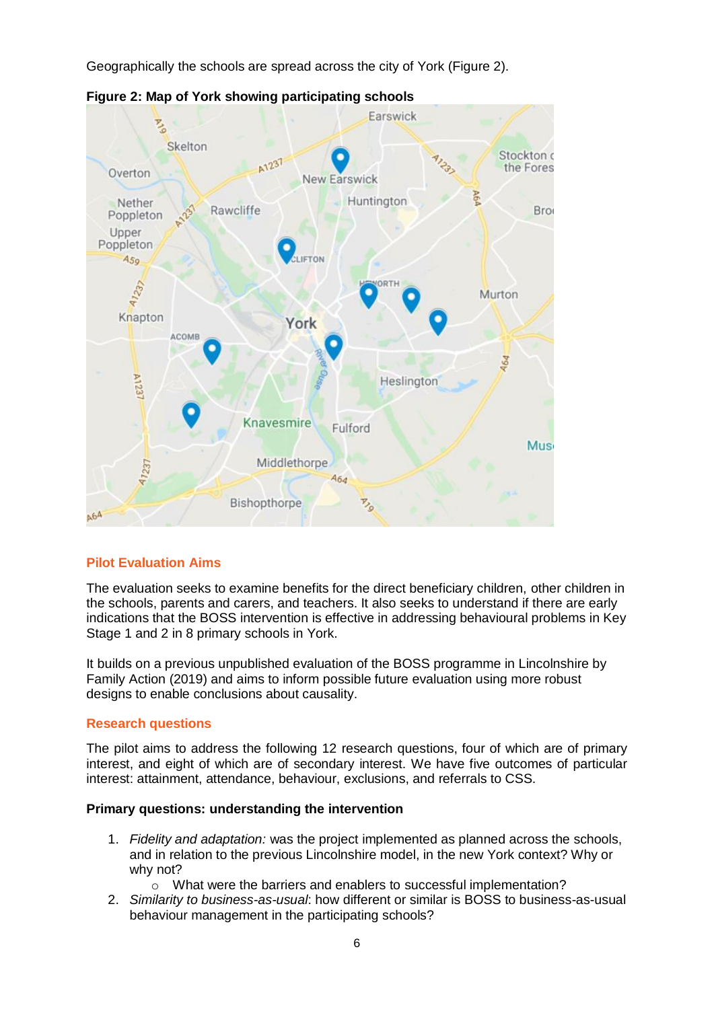Geographically the schools are spread across the city of York (Figure 2).



**Figure 2: Map of York showing participating schools**

# <span id="page-5-0"></span>**Pilot Evaluation Aims**

The evaluation seeks to examine benefits for the direct beneficiary children, other children in the schools, parents and carers, and teachers. It also seeks to understand if there are early indications that the BOSS intervention is effective in addressing behavioural problems in Key Stage 1 and 2 in 8 primary schools in York.

It builds on a previous unpublished evaluation of the BOSS programme in Lincolnshire by Family Action (2019) and aims to inform possible future evaluation using more robust designs to enable conclusions about causality.

### <span id="page-5-1"></span>**Research questions**

The pilot aims to address the following 12 research questions, four of which are of primary interest, and eight of which are of secondary interest. We have five outcomes of particular interest: attainment, attendance, behaviour, exclusions, and referrals to CSS.

### **Primary questions: understanding the intervention**

- 1. *Fidelity and adaptation:* was the project implemented as planned across the schools, and in relation to the previous Lincolnshire model, in the new York context? Why or why not?
	- o What were the barriers and enablers to successful implementation?
- 2. *Similarity to business-as-usual*: how different or similar is BOSS to business-as-usual behaviour management in the participating schools?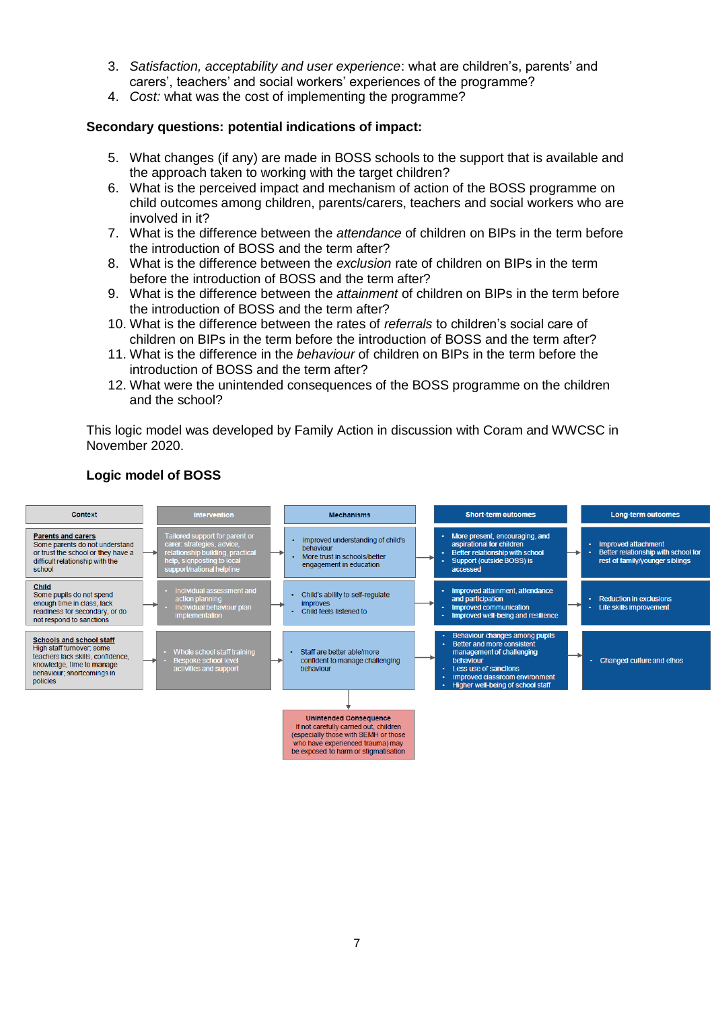- 3. *Satisfaction, acceptability and user experience*: what are children's, parents' and carers', teachers' and social workers' experiences of the programme?
- 4. *Cost:* what was the cost of implementing the programme?

### **Secondary questions: potential indications of impact:**

- 5. What changes (if any) are made in BOSS schools to the support that is available and the approach taken to working with the target children?
- 6. What is the perceived impact and mechanism of action of the BOSS programme on child outcomes among children, parents/carers, teachers and social workers who are involved in it?
- 7. What is the difference between the *attendance* of children on BIPs in the term before the introduction of BOSS and the term after?
- 8. What is the difference between the *exclusion* rate of children on BIPs in the term before the introduction of BOSS and the term after?
- 9. What is the difference between the *attainment* of children on BIPs in the term before the introduction of BOSS and the term after?
- 10. What is the difference between the rates of *referrals* to children's social care of children on BIPs in the term before the introduction of BOSS and the term after?
- 11. What is the difference in the *behaviour* of children on BIPs in the term before the introduction of BOSS and the term after?
- 12. What were the unintended consequences of the BOSS programme on the children and the school?

This logic model was developed by Family Action in discussion with Coram and WWCSC in November 2020.



#### **Logic model of BOSS**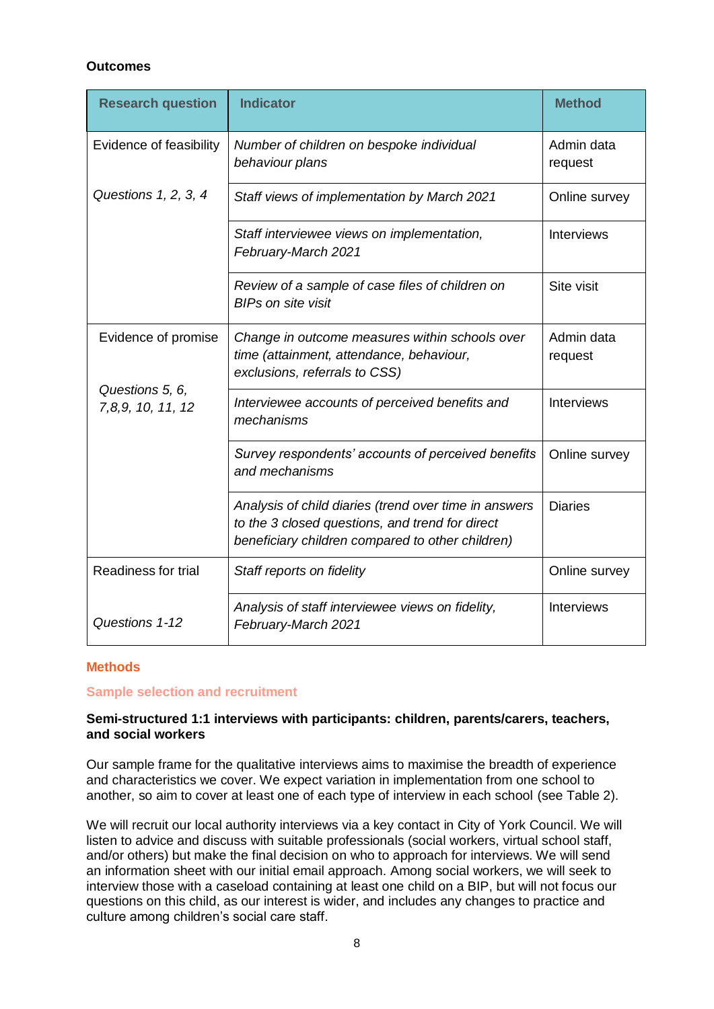# **Outcomes**

| <b>Research question</b>             | <b>Indicator</b>                                                                                                                                             | <b>Method</b>         |
|--------------------------------------|--------------------------------------------------------------------------------------------------------------------------------------------------------------|-----------------------|
| Evidence of feasibility              | Number of children on bespoke individual<br>behaviour plans                                                                                                  | Admin data<br>request |
| Questions 1, 2, 3, 4                 | Staff views of implementation by March 2021                                                                                                                  | Online survey         |
|                                      | Staff interviewee views on implementation,<br>February-March 2021                                                                                            | <b>Interviews</b>     |
|                                      | Review of a sample of case files of children on<br><b>BIPs on site visit</b>                                                                                 | Site visit            |
| Evidence of promise                  | Change in outcome measures within schools over<br>time (attainment, attendance, behaviour,<br>exclusions, referrals to CSS)                                  | Admin data<br>request |
| Questions 5, 6,<br>7,8,9, 10, 11, 12 | Interviewee accounts of perceived benefits and<br>mechanisms                                                                                                 | <b>Interviews</b>     |
|                                      | Survey respondents' accounts of perceived benefits<br>and mechanisms                                                                                         | Online survey         |
|                                      | Analysis of child diaries (trend over time in answers<br>to the 3 closed questions, and trend for direct<br>beneficiary children compared to other children) | <b>Diaries</b>        |
| Readiness for trial                  | Staff reports on fidelity                                                                                                                                    | Online survey         |
| Questions 1-12                       | Analysis of staff interviewee views on fidelity,<br>February-March 2021                                                                                      | <b>Interviews</b>     |

### <span id="page-7-0"></span>**Methods**

#### <span id="page-7-1"></span>**Sample selection and recruitment**

#### **Semi-structured 1:1 interviews with participants: children, parents/carers, teachers, and social workers**

Our sample frame for the qualitative interviews aims to maximise the breadth of experience and characteristics we cover. We expect variation in implementation from one school to another, so aim to cover at least one of each type of interview in each school (see Table 2).

We will recruit our local authority interviews via a key contact in City of York Council. We will listen to advice and discuss with suitable professionals (social workers, virtual school staff, and/or others) but make the final decision on who to approach for interviews. We will send an information sheet with our initial email approach. Among social workers, we will seek to interview those with a caseload containing at least one child on a BIP, but will not focus our questions on this child, as our interest is wider, and includes any changes to practice and culture among children's social care staff.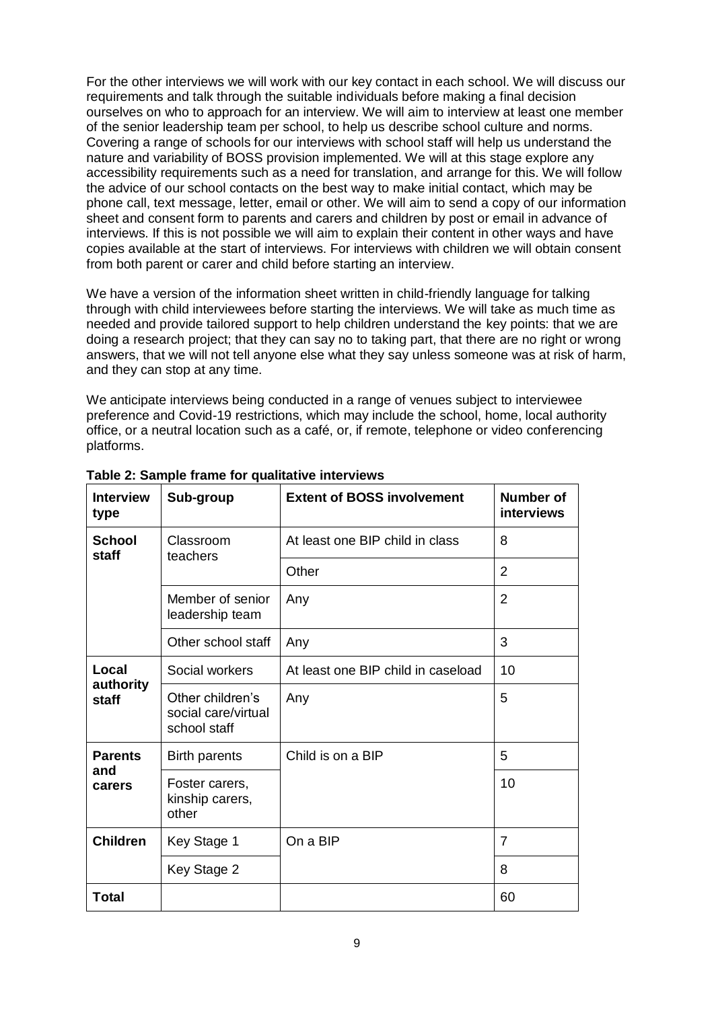For the other interviews we will work with our key contact in each school. We will discuss our requirements and talk through the suitable individuals before making a final decision ourselves on who to approach for an interview. We will aim to interview at least one member of the senior leadership team per school, to help us describe school culture and norms. Covering a range of schools for our interviews with school staff will help us understand the nature and variability of BOSS provision implemented. We will at this stage explore any accessibility requirements such as a need for translation, and arrange for this. We will follow the advice of our school contacts on the best way to make initial contact, which may be phone call, text message, letter, email or other. We will aim to send a copy of our information sheet and consent form to parents and carers and children by post or email in advance of interviews. If this is not possible we will aim to explain their content in other ways and have copies available at the start of interviews. For interviews with children we will obtain consent from both parent or carer and child before starting an interview.

We have a version of the information sheet written in child-friendly language for talking through with child interviewees before starting the interviews. We will take as much time as needed and provide tailored support to help children understand the key points: that we are doing a research project; that they can say no to taking part, that there are no right or wrong answers, that we will not tell anyone else what they say unless someone was at risk of harm, and they can stop at any time.

We anticipate interviews being conducted in a range of venues subject to interviewee preference and Covid-19 restrictions, which may include the school, home, local authority office, or a neutral location such as a café, or, if remote, telephone or video conferencing platforms.

| <b>Interview</b><br>type | Sub-group                                               | <b>Extent of BOSS involvement</b>  | Number of<br><b>interviews</b> |
|--------------------------|---------------------------------------------------------|------------------------------------|--------------------------------|
| <b>School</b><br>staff   | Classroom<br>teachers                                   | At least one BIP child in class    | 8                              |
|                          |                                                         | Other                              | $\overline{2}$                 |
|                          | Member of senior<br>leadership team                     | Any                                | $\overline{2}$                 |
|                          | Other school staff                                      | Any                                | 3                              |
| Local                    | Social workers                                          | At least one BIP child in caseload | 10                             |
| authority<br>staff       | Other children's<br>social care/virtual<br>school staff | Any                                | 5                              |
| <b>Parents</b>           | Birth parents                                           | Child is on a BIP                  | 5                              |
| and<br>carers            | Foster carers,<br>kinship carers,<br>other              |                                    | 10                             |
| <b>Children</b>          | Key Stage 1                                             | On a BIP                           | $\overline{7}$                 |
|                          | Key Stage 2                                             |                                    | 8                              |
| <b>Total</b>             |                                                         |                                    | 60                             |

**Table 2: Sample frame for qualitative interviews**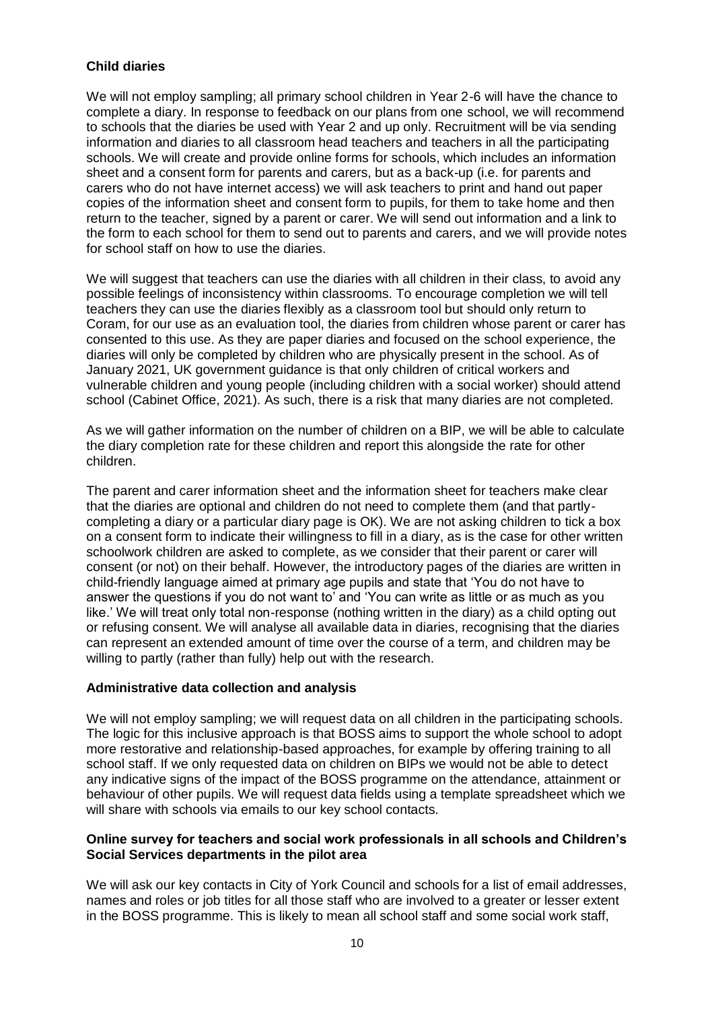# **Child diaries**

We will not employ sampling; all primary school children in Year 2-6 will have the chance to complete a diary. In response to feedback on our plans from one school, we will recommend to schools that the diaries be used with Year 2 and up only. Recruitment will be via sending information and diaries to all classroom head teachers and teachers in all the participating schools. We will create and provide online forms for schools, which includes an information sheet and a consent form for parents and carers, but as a back-up (i.e. for parents and carers who do not have internet access) we will ask teachers to print and hand out paper copies of the information sheet and consent form to pupils, for them to take home and then return to the teacher, signed by a parent or carer. We will send out information and a link to the form to each school for them to send out to parents and carers, and we will provide notes for school staff on how to use the diaries.

We will suggest that teachers can use the diaries with all children in their class, to avoid any possible feelings of inconsistency within classrooms. To encourage completion we will tell teachers they can use the diaries flexibly as a classroom tool but should only return to Coram, for our use as an evaluation tool, the diaries from children whose parent or carer has consented to this use. As they are paper diaries and focused on the school experience, the diaries will only be completed by children who are physically present in the school. As of January 2021, UK government guidance is that only children of critical workers and vulnerable children and young people (including children with a social worker) should attend school (Cabinet Office, 2021). As such, there is a risk that many diaries are not completed.

As we will gather information on the number of children on a BIP, we will be able to calculate the diary completion rate for these children and report this alongside the rate for other children.

The parent and carer information sheet and the information sheet for teachers make clear that the diaries are optional and children do not need to complete them (and that partlycompleting a diary or a particular diary page is OK). We are not asking children to tick a box on a consent form to indicate their willingness to fill in a diary, as is the case for other written schoolwork children are asked to complete, as we consider that their parent or carer will consent (or not) on their behalf. However, the introductory pages of the diaries are written in child-friendly language aimed at primary age pupils and state that 'You do not have to answer the questions if you do not want to' and 'You can write as little or as much as you like.' We will treat only total non-response (nothing written in the diary) as a child opting out or refusing consent. We will analyse all available data in diaries, recognising that the diaries can represent an extended amount of time over the course of a term, and children may be willing to partly (rather than fully) help out with the research.

### **Administrative data collection and analysis**

We will not employ sampling; we will request data on all children in the participating schools. The logic for this inclusive approach is that BOSS aims to support the whole school to adopt more restorative and relationship-based approaches, for example by offering training to all school staff. If we only requested data on children on BIPs we would not be able to detect any indicative signs of the impact of the BOSS programme on the attendance, attainment or behaviour of other pupils. We will request data fields using a template spreadsheet which we will share with schools via emails to our key school contacts.

#### **Online survey for teachers and social work professionals in all schools and Children's Social Services departments in the pilot area**

We will ask our key contacts in City of York Council and schools for a list of email addresses, names and roles or job titles for all those staff who are involved to a greater or lesser extent in the BOSS programme. This is likely to mean all school staff and some social work staff,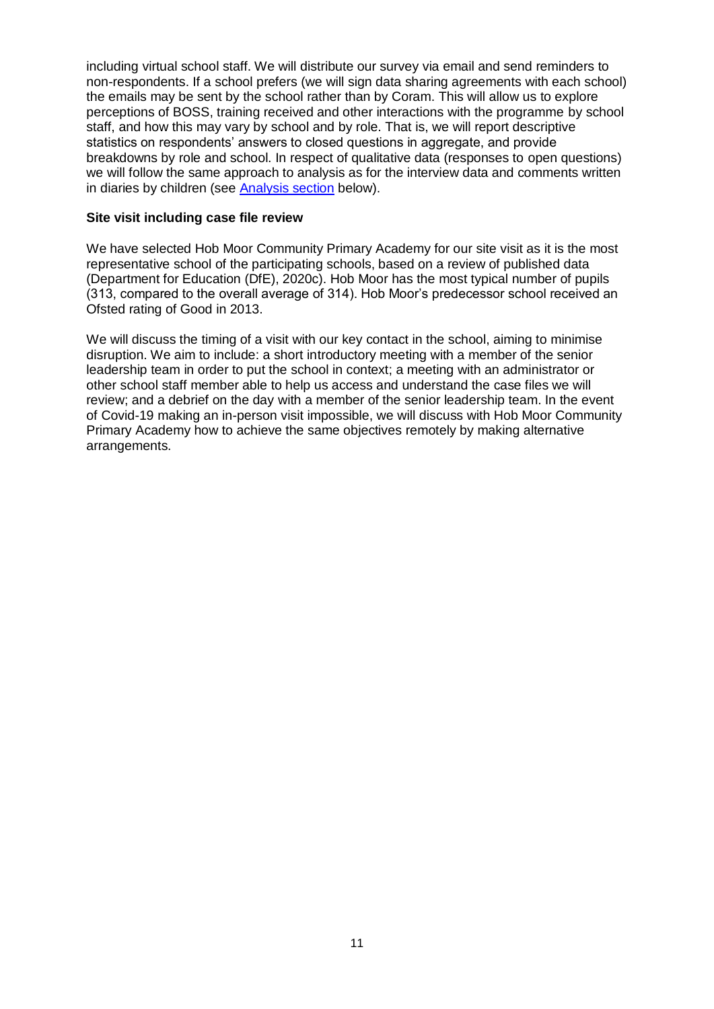including virtual school staff. We will distribute our survey via email and send reminders to non-respondents. If a school prefers (we will sign data sharing agreements with each school) the emails may be sent by the school rather than by Coram. This will allow us to explore perceptions of BOSS, training received and other interactions with the programme by school staff, and how this may vary by school and by role. That is, we will report descriptive statistics on respondents' answers to closed questions in aggregate, and provide breakdowns by role and school. In respect of qualitative data (responses to open questions) we will follow the same approach to analysis as for the interview data and comments written in diaries by children (see Analysis section below).

#### **Site visit including case file review**

We have selected Hob Moor Community Primary Academy for our site visit as it is the most representative school of the participating schools, based on a review of published data (Department for Education (DfE), 2020c). Hob Moor has the most typical number of pupils (313, compared to the overall average of 314). Hob Moor's predecessor school received an Ofsted rating of Good in 2013.

We will discuss the timing of a visit with our key contact in the school, aiming to minimise disruption. We aim to include: a short introductory meeting with a member of the senior leadership team in order to put the school in context; a meeting with an administrator or other school staff member able to help us access and understand the case files we will review; and a debrief on the day with a member of the senior leadership team. In the event of Covid-19 making an in-person visit impossible, we will discuss with Hob Moor Community Primary Academy how to achieve the same objectives remotely by making alternative arrangements.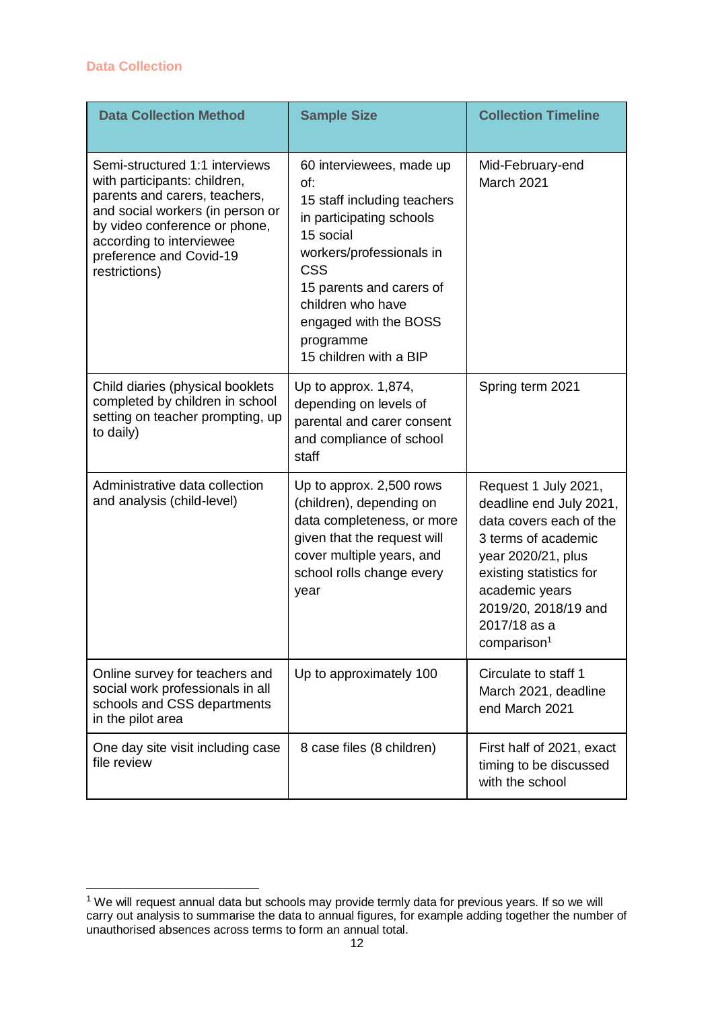-

<span id="page-11-0"></span>

| <b>Data Collection Method</b>                                                                                                                                                                                                                | <b>Sample Size</b>                                                                                                                                                                                                                                                 | <b>Collection Timeline</b>                                                                                                                                                                                                              |
|----------------------------------------------------------------------------------------------------------------------------------------------------------------------------------------------------------------------------------------------|--------------------------------------------------------------------------------------------------------------------------------------------------------------------------------------------------------------------------------------------------------------------|-----------------------------------------------------------------------------------------------------------------------------------------------------------------------------------------------------------------------------------------|
| Semi-structured 1:1 interviews<br>with participants: children,<br>parents and carers, teachers,<br>and social workers (in person or<br>by video conference or phone,<br>according to interviewee<br>preference and Covid-19<br>restrictions) | 60 interviewees, made up<br>of:<br>15 staff including teachers<br>in participating schools<br>15 social<br>workers/professionals in<br><b>CSS</b><br>15 parents and carers of<br>children who have<br>engaged with the BOSS<br>programme<br>15 children with a BIP | Mid-February-end<br>March 2021                                                                                                                                                                                                          |
| Child diaries (physical booklets<br>completed by children in school<br>setting on teacher prompting, up<br>to daily)                                                                                                                         | Up to approx. 1,874,<br>depending on levels of<br>parental and carer consent<br>and compliance of school<br>staff                                                                                                                                                  | Spring term 2021                                                                                                                                                                                                                        |
| Administrative data collection<br>and analysis (child-level)                                                                                                                                                                                 | Up to approx. 2,500 rows<br>(children), depending on<br>data completeness, or more<br>given that the request will<br>cover multiple years, and<br>school rolls change every<br>year                                                                                | Request 1 July 2021,<br>deadline end July 2021,<br>data covers each of the<br>3 terms of academic<br>year 2020/21, plus<br>existing statistics for<br>academic years<br>2019/20, 2018/19 and<br>2017/18 as a<br>comparison <sup>1</sup> |
| Online survey for teachers and<br>social work professionals in all<br>schools and CSS departments<br>in the pilot area                                                                                                                       | Up to approximately 100                                                                                                                                                                                                                                            | Circulate to staff 1<br>March 2021, deadline<br>end March 2021                                                                                                                                                                          |
| One day site visit including case<br>file review                                                                                                                                                                                             | 8 case files (8 children)                                                                                                                                                                                                                                          | First half of 2021, exact<br>timing to be discussed<br>with the school                                                                                                                                                                  |

 $1$  We will request annual data but schools may provide termly data for previous years. If so we will carry out analysis to summarise the data to annual figures, for example adding together the number of unauthorised absences across terms to form an annual total.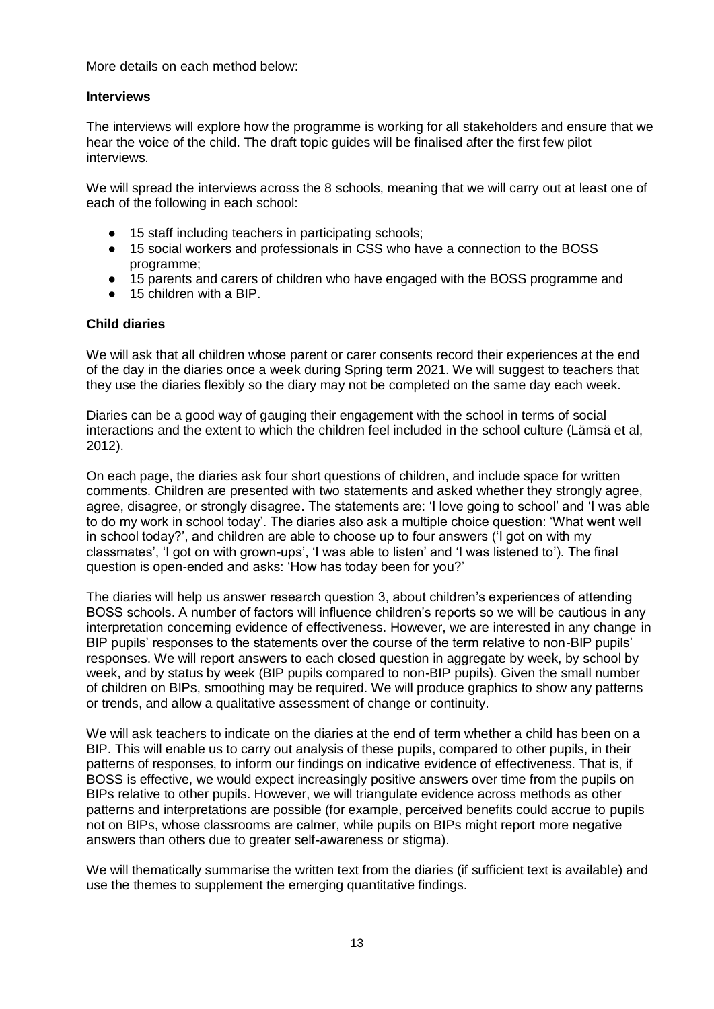More details on each method below:

### **Interviews**

The interviews will explore how the programme is working for all stakeholders and ensure that we hear the voice of the child. The draft topic guides will be finalised after the first few pilot interviews.

We will spread the interviews across the 8 schools, meaning that we will carry out at least one of each of the following in each school:

- 15 staff including teachers in participating schools;
- 15 social workers and professionals in CSS who have a connection to the BOSS programme;
- 15 parents and carers of children who have engaged with the BOSS programme and
- 15 children with a BIP

#### **Child diaries**

We will ask that all children whose parent or carer consents record their experiences at the end of the day in the diaries once a week during Spring term 2021. We will suggest to teachers that they use the diaries flexibly so the diary may not be completed on the same day each week.

Diaries can be a good way of gauging their engagement with the school in terms of social interactions and the extent to which the children feel included in the school culture (Lämsä et al, 2012).

On each page, the diaries ask four short questions of children, and include space for written comments. Children are presented with two statements and asked whether they strongly agree, agree, disagree, or strongly disagree. The statements are: 'I love going to school' and 'I was able to do my work in school today'. The diaries also ask a multiple choice question: 'What went well in school today?', and children are able to choose up to four answers ('I got on with my classmates', 'I got on with grown-ups', 'I was able to listen' and 'I was listened to'). The final question is open-ended and asks: 'How has today been for you?'

The diaries will help us answer research question 3, about children's experiences of attending BOSS schools. A number of factors will influence children's reports so we will be cautious in any interpretation concerning evidence of effectiveness. However, we are interested in any change in BIP pupils' responses to the statements over the course of the term relative to non-BIP pupils' responses. We will report answers to each closed question in aggregate by week, by school by week, and by status by week (BIP pupils compared to non-BIP pupils). Given the small number of children on BIPs, smoothing may be required. We will produce graphics to show any patterns or trends, and allow a qualitative assessment of change or continuity.

We will ask teachers to indicate on the diaries at the end of term whether a child has been on a BIP. This will enable us to carry out analysis of these pupils, compared to other pupils, in their patterns of responses, to inform our findings on indicative evidence of effectiveness. That is, if BOSS is effective, we would expect increasingly positive answers over time from the pupils on BIPs relative to other pupils. However, we will triangulate evidence across methods as other patterns and interpretations are possible (for example, perceived benefits could accrue to pupils not on BIPs, whose classrooms are calmer, while pupils on BIPs might report more negative answers than others due to greater self-awareness or stigma).

We will thematically summarise the written text from the diaries (if sufficient text is available) and use the themes to supplement the emerging quantitative findings.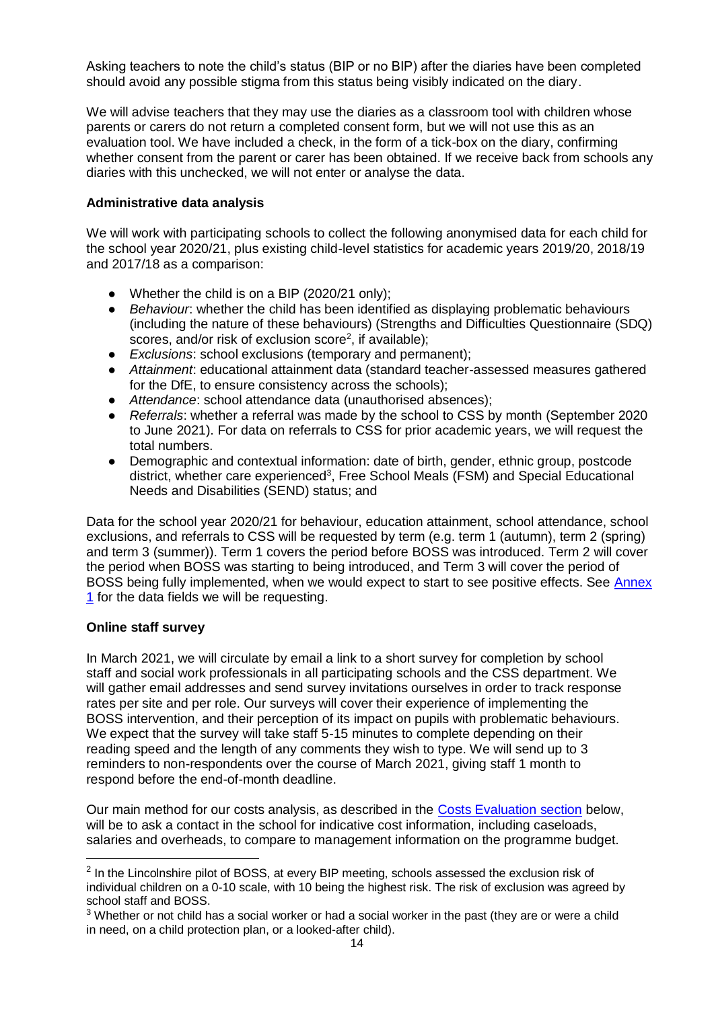Asking teachers to note the child's status (BIP or no BIP) after the diaries have been completed should avoid any possible stigma from this status being visibly indicated on the diary.

We will advise teachers that they may use the diaries as a classroom tool with children whose parents or carers do not return a completed consent form, but we will not use this as an evaluation tool. We have included a check, in the form of a tick-box on the diary, confirming whether consent from the parent or carer has been obtained. If we receive back from schools any diaries with this unchecked, we will not enter or analyse the data.

### **Administrative data analysis**

We will work with participating schools to collect the following anonymised data for each child for the school year 2020/21, plus existing child-level statistics for academic years 2019/20, 2018/19 and 2017/18 as a comparison:

- Whether the child is on a BIP (2020/21 only);
- *Behaviour*: whether the child has been identified as displaying problematic behaviours (including the nature of these behaviours) (Strengths and Difficulties Questionnaire (SDQ) scores, and/or risk of exclusion score<sup>2</sup>, if available);
- *Exclusions*: school exclusions (temporary and permanent);
- *Attainment*: educational attainment data (standard teacher-assessed measures gathered for the DfE, to ensure consistency across the schools);
- *Attendance*: school attendance data (unauthorised absences);
- *Referrals*: whether a referral was made by the school to CSS by month (September 2020 to June 2021). For data on referrals to CSS for prior academic years, we will request the total numbers.
- Demographic and contextual information: date of birth, gender, ethnic group, postcode district, whether care experienced<sup>3</sup>, Free School Meals (FSM) and Special Educational Needs and Disabilities (SEND) status; and

Data for the school year 2020/21 for behaviour, education attainment, school attendance, school exclusions, and referrals to CSS will be requested by term (e.g. term 1 (autumn), term 2 (spring) and term 3 (summer)). Term 1 covers the period before BOSS was introduced. Term 2 will cover the period when BOSS was starting to being introduced, and Term 3 will cover the period of BOSS being fully implemented, when we would expect to start to see positive effects. See Annex 1 for the data fields we will be requesting.

### **Online staff survey**

-

In March 2021, we will circulate by email a link to a short survey for completion by school staff and social work professionals in all participating schools and the CSS department. We will gather email addresses and send survey invitations ourselves in order to track response rates per site and per role. Our surveys will cover their experience of implementing the BOSS intervention, and their perception of its impact on pupils with problematic behaviours. We expect that the survey will take staff 5-15 minutes to complete depending on their reading speed and the length of any comments they wish to type. We will send up to 3 reminders to non-respondents over the course of March 2021, giving staff 1 month to respond before the end-of-month deadline.

Our main method for our costs analysis, as described in the Costs Evaluation section below, will be to ask a contact in the school for indicative cost information, including caseloads, salaries and overheads, to compare to management information on the programme budget.

 $2$  In the Lincolnshire pilot of BOSS, at every BIP meeting, schools assessed the exclusion risk of individual children on a 0-10 scale, with 10 being the highest risk. The risk of exclusion was agreed by school staff and BOSS.

 $3$  Whether or not child has a social worker or had a social worker in the past (they are or were a child in need, on a child protection plan, or a looked-after child).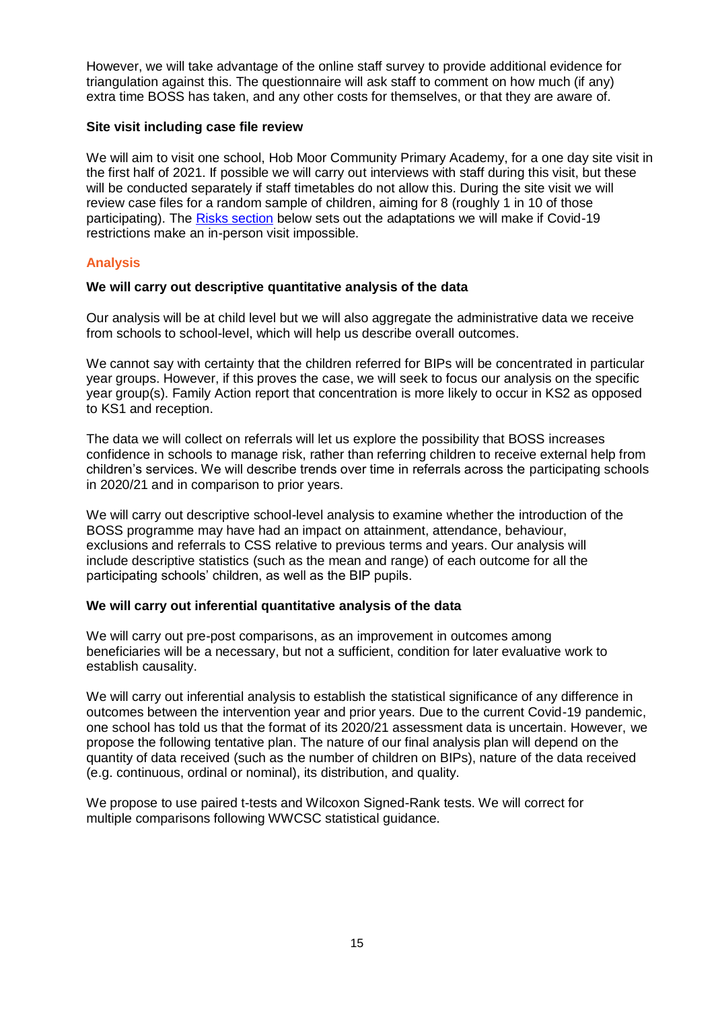However, we will take advantage of the online staff survey to provide additional evidence for triangulation against this. The questionnaire will ask staff to comment on how much (if any) extra time BOSS has taken, and any other costs for themselves, or that they are aware of.

### **Site visit including case file review**

We will aim to visit one school, Hob Moor Community Primary Academy, for a one day site visit in the first half of 2021. If possible we will carry out interviews with staff during this visit, but these will be conducted separately if staff timetables do not allow this. During the site visit we will review case files for a random sample of children, aiming for 8 (roughly 1 in 10 of those participating). The Risks section below sets out the adaptations we will make if Covid-19 restrictions make an in-person visit impossible.

# <span id="page-14-0"></span>**Analysis**

# **We will carry out descriptive quantitative analysis of the data**

Our analysis will be at child level but we will also aggregate the administrative data we receive from schools to school-level, which will help us describe overall outcomes.

We cannot say with certainty that the children referred for BIPs will be concentrated in particular year groups. However, if this proves the case, we will seek to focus our analysis on the specific year group(s). Family Action report that concentration is more likely to occur in KS2 as opposed to KS1 and reception.

The data we will collect on referrals will let us explore the possibility that BOSS increases confidence in schools to manage risk, rather than referring children to receive external help from children's services. We will describe trends over time in referrals across the participating schools in 2020/21 and in comparison to prior years.

We will carry out descriptive school-level analysis to examine whether the introduction of the BOSS programme may have had an impact on attainment, attendance, behaviour, exclusions and referrals to CSS relative to previous terms and years. Our analysis will include descriptive statistics (such as the mean and range) of each outcome for all the participating schools' children, as well as the BIP pupils.

### **We will carry out inferential quantitative analysis of the data**

We will carry out pre-post comparisons, as an improvement in outcomes among beneficiaries will be a necessary, but not a sufficient, condition for later evaluative work to establish causality.

We will carry out inferential analysis to establish the statistical significance of any difference in outcomes between the intervention year and prior years. Due to the current Covid-19 pandemic, one school has told us that the format of its 2020/21 assessment data is uncertain. However, we propose the following tentative plan. The nature of our final analysis plan will depend on the quantity of data received (such as the number of children on BIPs), nature of the data received (e.g. continuous, ordinal or nominal), its distribution, and quality.

We propose to use paired t-tests and Wilcoxon Signed-Rank tests. We will correct for multiple comparisons following WWCSC statistical guidance.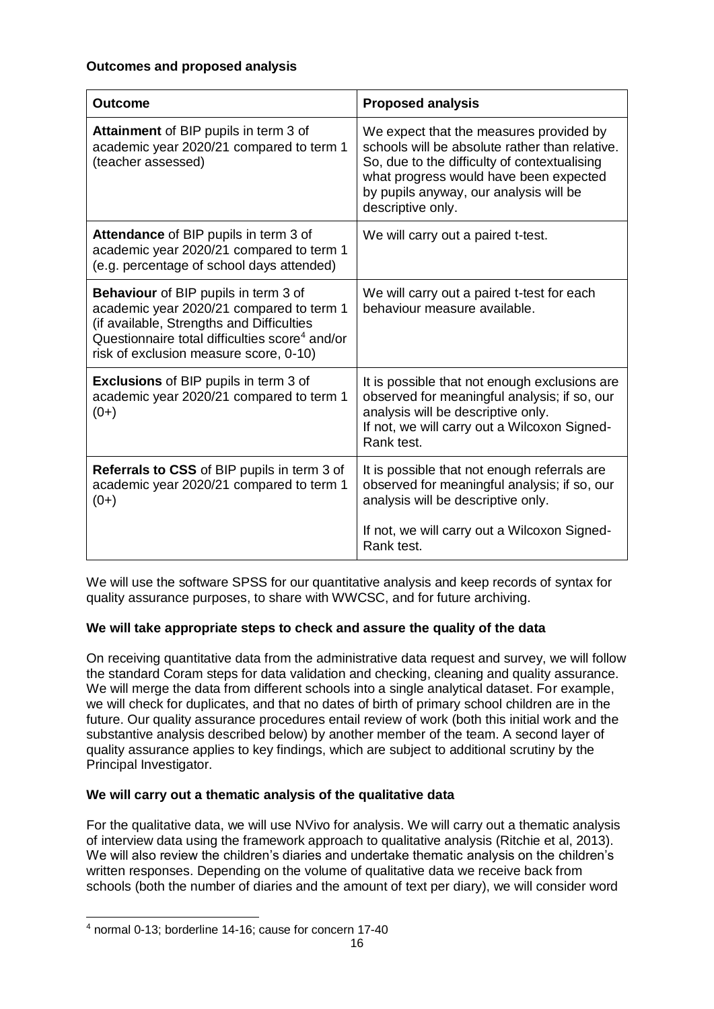| <b>Outcome</b>                                                                                                                                                                                                                               | <b>Proposed analysis</b>                                                                                                                                                                                                                           |
|----------------------------------------------------------------------------------------------------------------------------------------------------------------------------------------------------------------------------------------------|----------------------------------------------------------------------------------------------------------------------------------------------------------------------------------------------------------------------------------------------------|
| Attainment of BIP pupils in term 3 of<br>academic year 2020/21 compared to term 1<br>(teacher assessed)                                                                                                                                      | We expect that the measures provided by<br>schools will be absolute rather than relative.<br>So, due to the difficulty of contextualising<br>what progress would have been expected<br>by pupils anyway, our analysis will be<br>descriptive only. |
| Attendance of BIP pupils in term 3 of<br>academic year 2020/21 compared to term 1<br>(e.g. percentage of school days attended)                                                                                                               | We will carry out a paired t-test.                                                                                                                                                                                                                 |
| <b>Behaviour</b> of BIP pupils in term 3 of<br>academic year 2020/21 compared to term 1<br>(if available, Strengths and Difficulties<br>Questionnaire total difficulties score <sup>4</sup> and/or<br>risk of exclusion measure score, 0-10) | We will carry out a paired t-test for each<br>behaviour measure available.                                                                                                                                                                         |
| <b>Exclusions</b> of BIP pupils in term 3 of<br>academic year 2020/21 compared to term 1<br>$(0+)$                                                                                                                                           | It is possible that not enough exclusions are<br>observed for meaningful analysis; if so, our<br>analysis will be descriptive only.<br>If not, we will carry out a Wilcoxon Signed-<br>Rank test.                                                  |
| <b>Referrals to CSS</b> of BIP pupils in term 3 of<br>academic year 2020/21 compared to term 1<br>$(0+)$                                                                                                                                     | It is possible that not enough referrals are<br>observed for meaningful analysis; if so, our<br>analysis will be descriptive only.                                                                                                                 |
|                                                                                                                                                                                                                                              | If not, we will carry out a Wilcoxon Signed-<br>Rank test.                                                                                                                                                                                         |

We will use the software SPSS for our quantitative analysis and keep records of syntax for quality assurance purposes, to share with WWCSC, and for future archiving.

# **We will take appropriate steps to check and assure the quality of the data**

On receiving quantitative data from the administrative data request and survey, we will follow the standard Coram steps for data validation and checking, cleaning and quality assurance. We will merge the data from different schools into a single analytical dataset. For example, we will check for duplicates, and that no dates of birth of primary school children are in the future. Our quality assurance procedures entail review of work (both this initial work and the substantive analysis described below) by another member of the team. A second layer of quality assurance applies to key findings, which are subject to additional scrutiny by the Principal Investigator.

# **We will carry out a thematic analysis of the qualitative data**

For the qualitative data, we will use NVivo for analysis. We will carry out a thematic analysis of interview data using the framework approach to qualitative analysis (Ritchie et al, 2013). We will also review the children's diaries and undertake thematic analysis on the children's written responses. Depending on the volume of qualitative data we receive back from schools (both the number of diaries and the amount of text per diary), we will consider word

<sup>-</sup><sup>4</sup> normal 0-13; borderline 14-16; cause for concern 17-40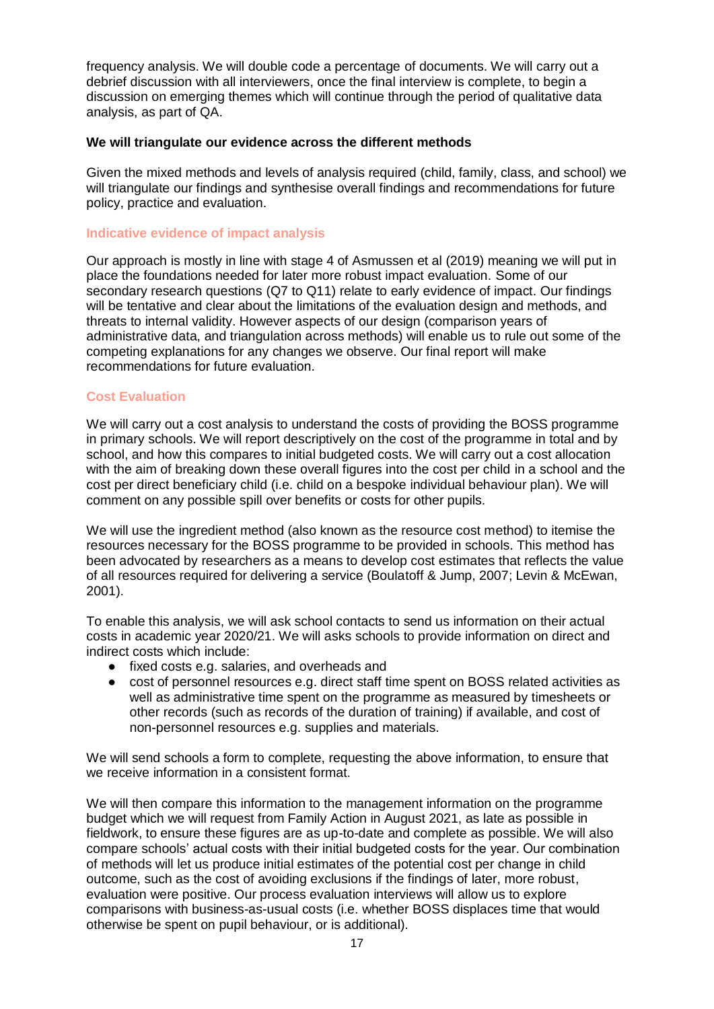frequency analysis. We will double code a percentage of documents. We will carry out a debrief discussion with all interviewers, once the final interview is complete, to begin a discussion on emerging themes which will continue through the period of qualitative data analysis, as part of QA.

### **We will triangulate our evidence across the different methods**

Given the mixed methods and levels of analysis required (child, family, class, and school) we will triangulate our findings and synthesise overall findings and recommendations for future policy, practice and evaluation.

### <span id="page-16-0"></span>**Indicative evidence of impact analysis**

Our approach is mostly in line with stage 4 of Asmussen et al (2019) meaning we will put in place the foundations needed for later more robust impact evaluation. Some of our secondary research questions (Q7 to Q11) relate to early evidence of impact. Our findings will be tentative and clear about the limitations of the evaluation design and methods, and threats to internal validity. However aspects of our design (comparison years of administrative data, and triangulation across methods) will enable us to rule out some of the competing explanations for any changes we observe. Our final report will make recommendations for future evaluation.

### <span id="page-16-1"></span>**Cost Evaluation**

We will carry out a cost analysis to understand the costs of providing the BOSS programme in primary schools. We will report descriptively on the cost of the programme in total and by school, and how this compares to initial budgeted costs. We will carry out a cost allocation with the aim of breaking down these overall figures into the cost per child in a school and the cost per direct beneficiary child (i.e. child on a bespoke individual behaviour plan). We will comment on any possible spill over benefits or costs for other pupils.

We will use the ingredient method (also known as the resource cost method) to itemise the resources necessary for the BOSS programme to be provided in schools. This method has been advocated by researchers as a means to develop cost estimates that reflects the value of all resources required for delivering a service (Boulatoff & Jump, 2007; Levin & McEwan, 2001).

To enable this analysis, we will ask school contacts to send us information on their actual costs in academic year 2020/21. We will asks schools to provide information on direct and indirect costs which include:

- fixed costs e.g. salaries, and overheads and
- cost of personnel resources e.g. direct staff time spent on BOSS related activities as well as administrative time spent on the programme as measured by timesheets or other records (such as records of the duration of training) if available, and cost of non-personnel resources e.g. supplies and materials.

We will send schools a form to complete, requesting the above information, to ensure that we receive information in a consistent format.

We will then compare this information to the management information on the programme budget which we will request from Family Action in August 2021, as late as possible in fieldwork, to ensure these figures are as up-to-date and complete as possible. We will also compare schools' actual costs with their initial budgeted costs for the year. Our combination of methods will let us produce initial estimates of the potential cost per change in child outcome, such as the cost of avoiding exclusions if the findings of later, more robust, evaluation were positive. Our process evaluation interviews will allow us to explore comparisons with business-as-usual costs (i.e. whether BOSS displaces time that would otherwise be spent on pupil behaviour, or is additional).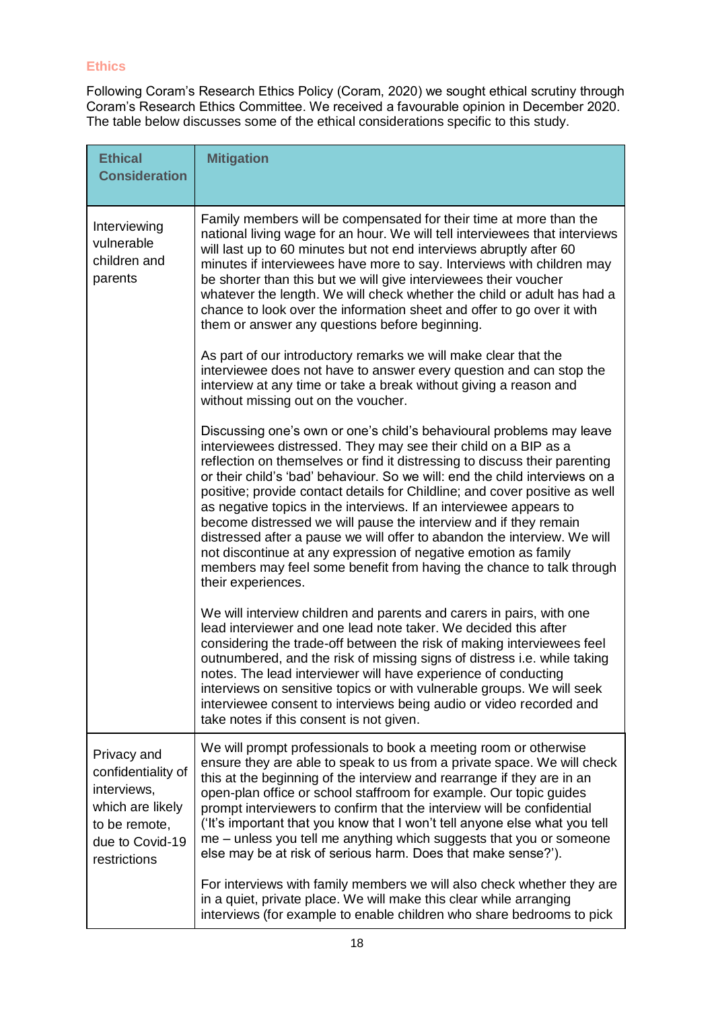# <span id="page-17-0"></span>**Ethics**

Following Coram's Research Ethics Policy (Coram, 2020) we sought ethical scrutiny through Coram's Research Ethics Committee. We received a favourable opinion in December 2020. The table below discusses some of the ethical considerations specific to this study.

| <b>Ethical</b><br><b>Consideration</b>                                                                                   | <b>Mitigation</b>                                                                                                                                                                                                                                                                                                                                                                                                                                                                                                                                                                                                                                                                                                                                                          |
|--------------------------------------------------------------------------------------------------------------------------|----------------------------------------------------------------------------------------------------------------------------------------------------------------------------------------------------------------------------------------------------------------------------------------------------------------------------------------------------------------------------------------------------------------------------------------------------------------------------------------------------------------------------------------------------------------------------------------------------------------------------------------------------------------------------------------------------------------------------------------------------------------------------|
|                                                                                                                          |                                                                                                                                                                                                                                                                                                                                                                                                                                                                                                                                                                                                                                                                                                                                                                            |
| Interviewing<br>vulnerable<br>children and<br>parents                                                                    | Family members will be compensated for their time at more than the<br>national living wage for an hour. We will tell interviewees that interviews<br>will last up to 60 minutes but not end interviews abruptly after 60<br>minutes if interviewees have more to say. Interviews with children may<br>be shorter than this but we will give interviewees their voucher<br>whatever the length. We will check whether the child or adult has had a<br>chance to look over the information sheet and offer to go over it with<br>them or answer any questions before beginning.                                                                                                                                                                                              |
|                                                                                                                          | As part of our introductory remarks we will make clear that the<br>interviewee does not have to answer every question and can stop the<br>interview at any time or take a break without giving a reason and<br>without missing out on the voucher.                                                                                                                                                                                                                                                                                                                                                                                                                                                                                                                         |
|                                                                                                                          | Discussing one's own or one's child's behavioural problems may leave<br>interviewees distressed. They may see their child on a BIP as a<br>reflection on themselves or find it distressing to discuss their parenting<br>or their child's 'bad' behaviour. So we will: end the child interviews on a<br>positive; provide contact details for Childline; and cover positive as well<br>as negative topics in the interviews. If an interviewee appears to<br>become distressed we will pause the interview and if they remain<br>distressed after a pause we will offer to abandon the interview. We will<br>not discontinue at any expression of negative emotion as family<br>members may feel some benefit from having the chance to talk through<br>their experiences. |
|                                                                                                                          | We will interview children and parents and carers in pairs, with one<br>lead interviewer and one lead note taker. We decided this after<br>considering the trade-off between the risk of making interviewees feel<br>outnumbered, and the risk of missing signs of distress i.e. while taking<br>notes. The lead interviewer will have experience of conducting<br>interviews on sensitive topics or with vulnerable groups. We will seek<br>interviewee consent to interviews being audio or video recorded and<br>take notes if this consent is not given.                                                                                                                                                                                                               |
| Privacy and<br>confidentiality of<br>interviews,<br>which are likely<br>to be remote,<br>due to Covid-19<br>restrictions | We will prompt professionals to book a meeting room or otherwise<br>ensure they are able to speak to us from a private space. We will check<br>this at the beginning of the interview and rearrange if they are in an<br>open-plan office or school staffroom for example. Our topic guides<br>prompt interviewers to confirm that the interview will be confidential<br>('It's important that you know that I won't tell anyone else what you tell<br>me – unless you tell me anything which suggests that you or someone<br>else may be at risk of serious harm. Does that make sense?').                                                                                                                                                                                |
|                                                                                                                          | For interviews with family members we will also check whether they are<br>in a quiet, private place. We will make this clear while arranging<br>interviews (for example to enable children who share bedrooms to pick                                                                                                                                                                                                                                                                                                                                                                                                                                                                                                                                                      |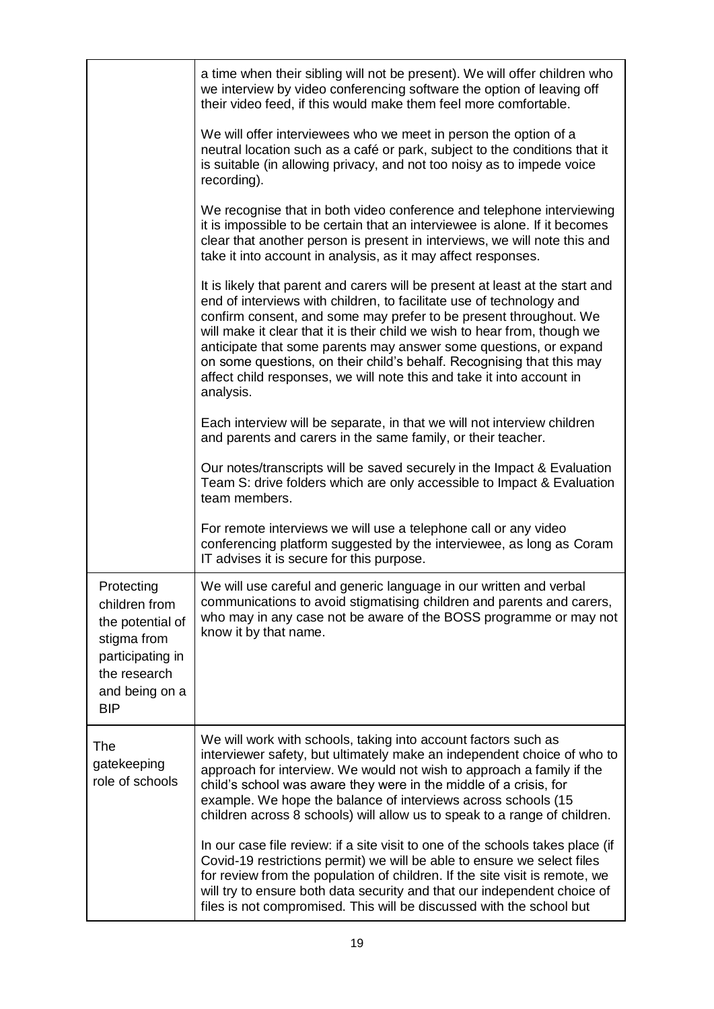|                                                                                                                                    | a time when their sibling will not be present). We will offer children who<br>we interview by video conferencing software the option of leaving off<br>their video feed, if this would make them feel more comfortable.<br>We will offer interviewees who we meet in person the option of a<br>neutral location such as a café or park, subject to the conditions that it                                                                                                                                                                   |
|------------------------------------------------------------------------------------------------------------------------------------|---------------------------------------------------------------------------------------------------------------------------------------------------------------------------------------------------------------------------------------------------------------------------------------------------------------------------------------------------------------------------------------------------------------------------------------------------------------------------------------------------------------------------------------------|
|                                                                                                                                    | is suitable (in allowing privacy, and not too noisy as to impede voice<br>recording).                                                                                                                                                                                                                                                                                                                                                                                                                                                       |
|                                                                                                                                    | We recognise that in both video conference and telephone interviewing<br>it is impossible to be certain that an interviewee is alone. If it becomes<br>clear that another person is present in interviews, we will note this and<br>take it into account in analysis, as it may affect responses.                                                                                                                                                                                                                                           |
|                                                                                                                                    | It is likely that parent and carers will be present at least at the start and<br>end of interviews with children, to facilitate use of technology and<br>confirm consent, and some may prefer to be present throughout. We<br>will make it clear that it is their child we wish to hear from, though we<br>anticipate that some parents may answer some questions, or expand<br>on some questions, on their child's behalf. Recognising that this may<br>affect child responses, we will note this and take it into account in<br>analysis. |
|                                                                                                                                    | Each interview will be separate, in that we will not interview children<br>and parents and carers in the same family, or their teacher.                                                                                                                                                                                                                                                                                                                                                                                                     |
|                                                                                                                                    | Our notes/transcripts will be saved securely in the Impact & Evaluation<br>Team S: drive folders which are only accessible to Impact & Evaluation<br>team members.                                                                                                                                                                                                                                                                                                                                                                          |
|                                                                                                                                    | For remote interviews we will use a telephone call or any video<br>conferencing platform suggested by the interviewee, as long as Coram<br>IT advises it is secure for this purpose.                                                                                                                                                                                                                                                                                                                                                        |
| Protecting<br>children from<br>the potential of<br>stigma from<br>participating in<br>the research<br>and being on a<br><b>BIP</b> | We will use careful and generic language in our written and verbal<br>communications to avoid stigmatising children and parents and carers,<br>who may in any case not be aware of the BOSS programme or may not<br>know it by that name.                                                                                                                                                                                                                                                                                                   |
| The<br>gatekeeping<br>role of schools                                                                                              | We will work with schools, taking into account factors such as<br>interviewer safety, but ultimately make an independent choice of who to<br>approach for interview. We would not wish to approach a family if the<br>child's school was aware they were in the middle of a crisis, for<br>example. We hope the balance of interviews across schools (15<br>children across 8 schools) will allow us to speak to a range of children.                                                                                                       |
|                                                                                                                                    | In our case file review: if a site visit to one of the schools takes place (if<br>Covid-19 restrictions permit) we will be able to ensure we select files<br>for review from the population of children. If the site visit is remote, we<br>will try to ensure both data security and that our independent choice of<br>files is not compromised. This will be discussed with the school but                                                                                                                                                |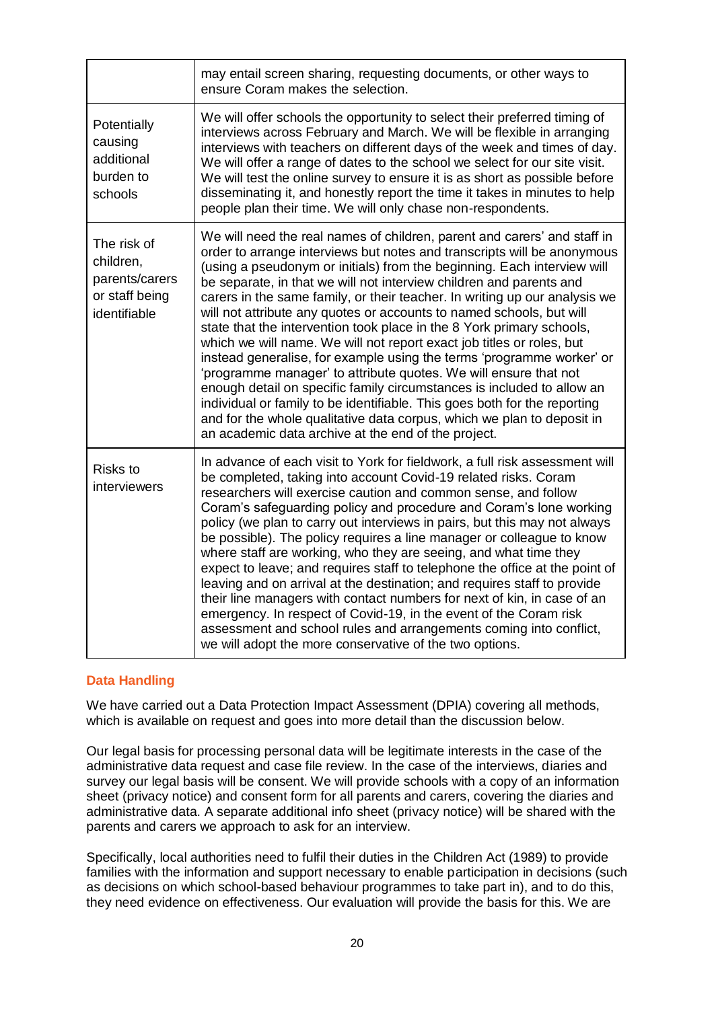|                                                                              | may entail screen sharing, requesting documents, or other ways to<br>ensure Coram makes the selection.                                                                                                                                                                                                                                                                                                                                                                                                                                                                                                                                                                                                                                                                                                                                                                                                                                                                                                                                             |
|------------------------------------------------------------------------------|----------------------------------------------------------------------------------------------------------------------------------------------------------------------------------------------------------------------------------------------------------------------------------------------------------------------------------------------------------------------------------------------------------------------------------------------------------------------------------------------------------------------------------------------------------------------------------------------------------------------------------------------------------------------------------------------------------------------------------------------------------------------------------------------------------------------------------------------------------------------------------------------------------------------------------------------------------------------------------------------------------------------------------------------------|
| Potentially<br>causing<br>additional<br>burden to<br>schools                 | We will offer schools the opportunity to select their preferred timing of<br>interviews across February and March. We will be flexible in arranging<br>interviews with teachers on different days of the week and times of day.<br>We will offer a range of dates to the school we select for our site visit.<br>We will test the online survey to ensure it is as short as possible before<br>disseminating it, and honestly report the time it takes in minutes to help<br>people plan their time. We will only chase non-respondents.                                                                                                                                                                                                                                                                                                                                                                                                                                                                                                           |
| The risk of<br>children,<br>parents/carers<br>or staff being<br>identifiable | We will need the real names of children, parent and carers' and staff in<br>order to arrange interviews but notes and transcripts will be anonymous<br>(using a pseudonym or initials) from the beginning. Each interview will<br>be separate, in that we will not interview children and parents and<br>carers in the same family, or their teacher. In writing up our analysis we<br>will not attribute any quotes or accounts to named schools, but will<br>state that the intervention took place in the 8 York primary schools,<br>which we will name. We will not report exact job titles or roles, but<br>instead generalise, for example using the terms 'programme worker' or<br>'programme manager' to attribute quotes. We will ensure that not<br>enough detail on specific family circumstances is included to allow an<br>individual or family to be identifiable. This goes both for the reporting<br>and for the whole qualitative data corpus, which we plan to deposit in<br>an academic data archive at the end of the project. |
| <b>Risks to</b><br>interviewers                                              | In advance of each visit to York for fieldwork, a full risk assessment will<br>be completed, taking into account Covid-19 related risks. Coram<br>researchers will exercise caution and common sense, and follow<br>Coram's safeguarding policy and procedure and Coram's lone working<br>policy (we plan to carry out interviews in pairs, but this may not always<br>be possible). The policy requires a line manager or colleague to know<br>where staff are working, who they are seeing, and what time they<br>expect to leave; and requires staff to telephone the office at the point of<br>leaving and on arrival at the destination; and requires staff to provide<br>their line managers with contact numbers for next of kin, in case of an<br>emergency. In respect of Covid-19, in the event of the Coram risk<br>assessment and school rules and arrangements coming into conflict,<br>we will adopt the more conservative of the two options.                                                                                       |

### <span id="page-19-0"></span>**Data Handling**

We have carried out a Data Protection Impact Assessment (DPIA) covering all methods, which is available on request and goes into more detail than the discussion below.

Our legal basis for processing personal data will be legitimate interests in the case of the administrative data request and case file review. In the case of the interviews, diaries and survey our legal basis will be consent. We will provide schools with a copy of an information sheet (privacy notice) and consent form for all parents and carers, covering the diaries and administrative data. A separate additional info sheet (privacy notice) will be shared with the parents and carers we approach to ask for an interview.

Specifically, local authorities need to fulfil their duties in the Children Act (1989) to provide families with the information and support necessary to enable participation in decisions (such as decisions on which school-based behaviour programmes to take part in), and to do this, they need evidence on effectiveness. Our evaluation will provide the basis for this. We are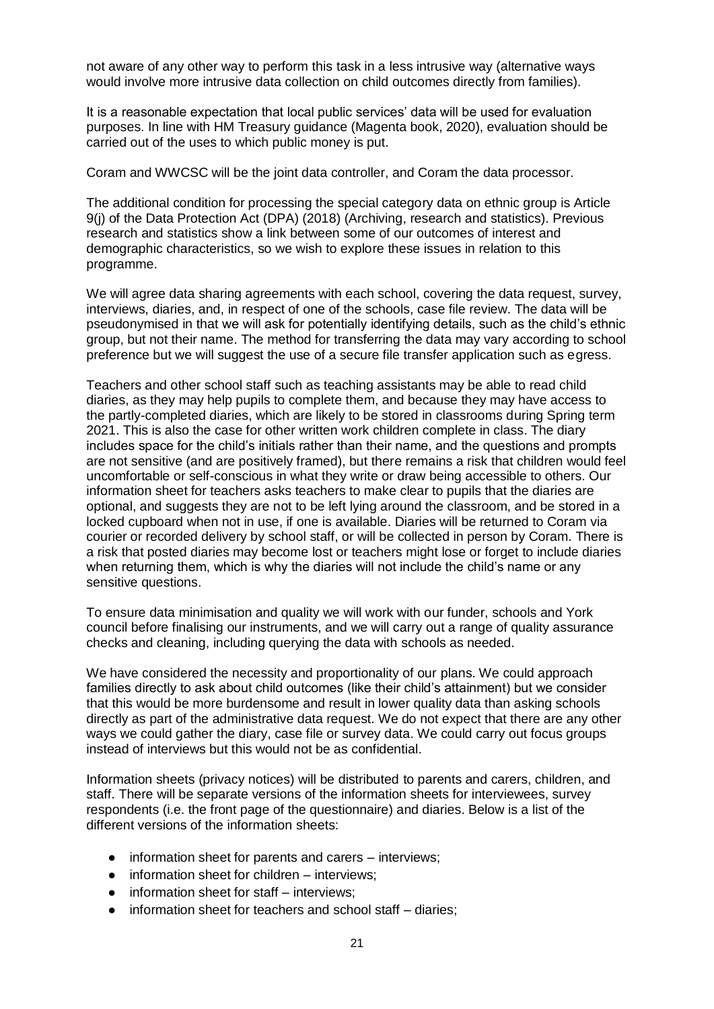not aware of any other way to perform this task in a less intrusive way (alternative ways would involve more intrusive data collection on child outcomes directly from families).

It is a reasonable expectation that local public services' data will be used for evaluation purposes. In line with HM Treasury guidance (Magenta book, 2020), evaluation should be carried out of the uses to which public money is put.

Coram and WWCSC will be the joint data controller, and Coram the data processor.

The additional condition for processing the special category data on ethnic group is Article 9(j) of the Data Protection Act (DPA) (2018) (Archiving, research and statistics). Previous research and statistics show a link between some of our outcomes of interest and demographic characteristics, so we wish to explore these issues in relation to this programme.

We will agree data sharing agreements with each school, covering the data request, survey, interviews, diaries, and, in respect of one of the schools, case file review. The data will be pseudonymised in that we will ask for potentially identifying details, such as the child's ethnic group, but not their name. The method for transferring the data may vary according to school preference but we will suggest the use of a secure file transfer application such as egress.

Teachers and other school staff such as teaching assistants may be able to read child diaries, as they may help pupils to complete them, and because they may have access to the partly-completed diaries, which are likely to be stored in classrooms during Spring term 2021. This is also the case for other written work children complete in class. The diary includes space for the child's initials rather than their name, and the questions and prompts are not sensitive (and are positively framed), but there remains a risk that children would feel uncomfortable or self-conscious in what they write or draw being accessible to others. Our information sheet for teachers asks teachers to make clear to pupils that the diaries are optional, and suggests they are not to be left lying around the classroom, and be stored in a locked cupboard when not in use, if one is available. Diaries will be returned to Coram via courier or recorded delivery by school staff, or will be collected in person by Coram. There is a risk that posted diaries may become lost or teachers might lose or forget to include diaries when returning them, which is why the diaries will not include the child's name or any sensitive questions.

To ensure data minimisation and quality we will work with our funder, schools and York council before finalising our instruments, and we will carry out a range of quality assurance checks and cleaning, including querying the data with schools as needed.

We have considered the necessity and proportionality of our plans. We could approach families directly to ask about child outcomes (like their child's attainment) but we consider that this would be more burdensome and result in lower quality data than asking schools directly as part of the administrative data request. We do not expect that there are any other ways we could gather the diary, case file or survey data. We could carry out focus groups instead of interviews but this would not be as confidential.

Information sheets (privacy notices) will be distributed to parents and carers, children, and staff. There will be separate versions of the information sheets for interviewees, survey respondents (i.e. the front page of the questionnaire) and diaries. Below is a list of the different versions of the information sheets:

- information sheet for parents and carers interviews;
- $\bullet$  information sheet for children interviews:
- information sheet for staff interviews:
- information sheet for teachers and school staff diaries;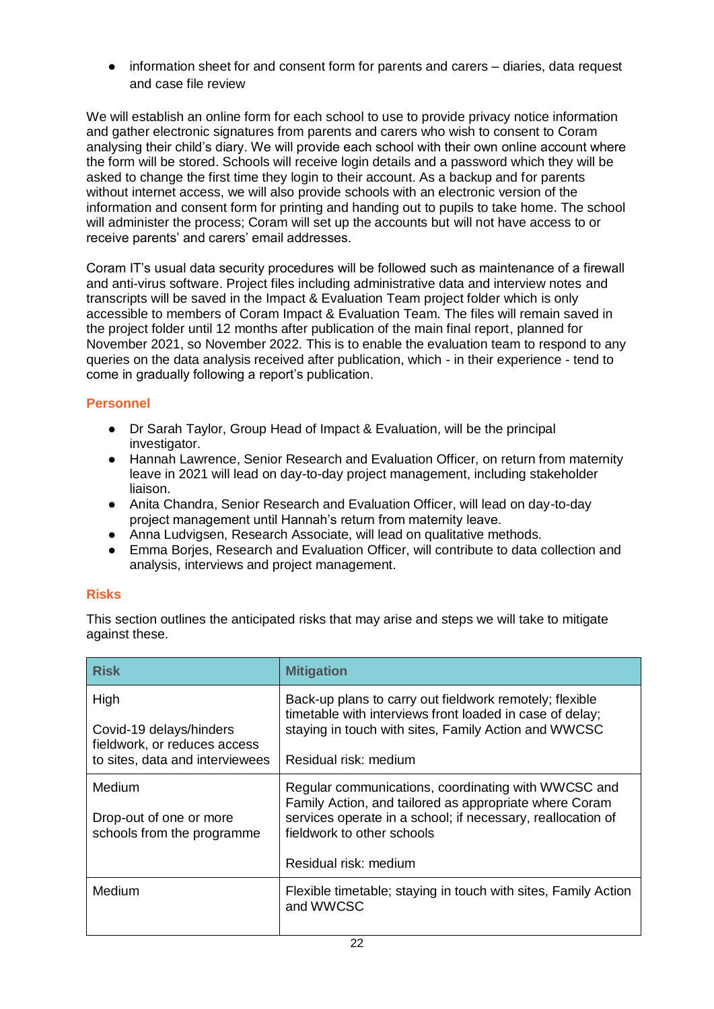• information sheet for and consent form for parents and carers – diaries, data request and case file review

We will establish an online form for each school to use to provide privacy notice information and gather electronic signatures from parents and carers who wish to consent to Coram analysing their child's diary. We will provide each school with their own online account where the form will be stored. Schools will receive login details and a password which they will be asked to change the first time they login to their account. As a backup and for parents without internet access, we will also provide schools with an electronic version of the information and consent form for printing and handing out to pupils to take home. The school will administer the process; Coram will set up the accounts but will not have access to or receive parents' and carers' email addresses.

Coram IT's usual data security procedures will be followed such as maintenance of a firewall and anti-virus software. Project files including administrative data and interview notes and transcripts will be saved in the Impact & Evaluation Team project folder which is only accessible to members of Coram Impact & Evaluation Team. The files will remain saved in the project folder until 12 months after publication of the main final report, planned for November 2021, so November 2022. This is to enable the evaluation team to respond to any queries on the data analysis received after publication, which - in their experience - tend to come in gradually following a report's publication.

# <span id="page-21-0"></span>**Personnel**

- Dr Sarah Taylor, Group Head of Impact & Evaluation, will be the principal investigator.
- Hannah Lawrence, Senior Research and Evaluation Officer, on return from maternity leave in 2021 will lead on day-to-day project management, including stakeholder liaison.
- Anita Chandra, Senior Research and Evaluation Officer, will lead on day-to-day project management until Hannah's return from maternity leave.
- Anna Ludvigsen, Research Associate, will lead on qualitative methods.
- Emma Borjes, Research and Evaluation Officer, will contribute to data collection and analysis, interviews and project management.

# <span id="page-21-1"></span>**Risks**

This section outlines the anticipated risks that may arise and steps we will take to mitigate against these.

| <b>Risk</b>                                                                                        | <b>Mitigation</b>                                                                                                                                                                                                                   |
|----------------------------------------------------------------------------------------------------|-------------------------------------------------------------------------------------------------------------------------------------------------------------------------------------------------------------------------------------|
| High<br>Covid-19 delays/hinders<br>fieldwork, or reduces access<br>to sites, data and interviewees | Back-up plans to carry out fieldwork remotely; flexible<br>timetable with interviews front loaded in case of delay;<br>staying in touch with sites, Family Action and WWCSC<br>Residual risk: medium                                |
| <b>Medium</b><br>Drop-out of one or more<br>schools from the programme                             | Regular communications, coordinating with WWCSC and<br>Family Action, and tailored as appropriate where Coram<br>services operate in a school; if necessary, reallocation of<br>fieldwork to other schools<br>Residual risk: medium |
| Medium                                                                                             | Flexible timetable; staying in touch with sites, Family Action<br>and WWCSC                                                                                                                                                         |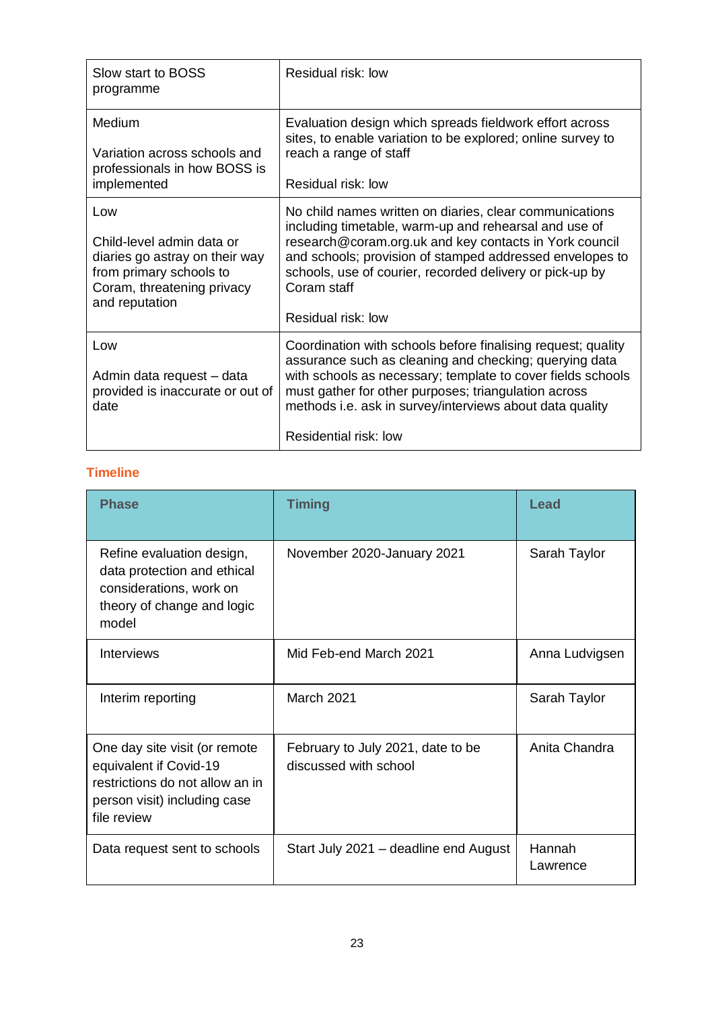| Slow start to BOSS<br>programme                                                                                                               | Residual risk: low                                                                                                                                                                                                                                                                                                                      |
|-----------------------------------------------------------------------------------------------------------------------------------------------|-----------------------------------------------------------------------------------------------------------------------------------------------------------------------------------------------------------------------------------------------------------------------------------------------------------------------------------------|
| Medium<br>Variation across schools and<br>professionals in how BOSS is<br>implemented                                                         | Evaluation design which spreads fieldwork effort across<br>sites, to enable variation to be explored; online survey to<br>reach a range of staff<br>Residual risk: low                                                                                                                                                                  |
| Low<br>Child-level admin data or<br>diaries go astray on their way<br>from primary schools to<br>Coram, threatening privacy<br>and reputation | No child names written on diaries, clear communications<br>including timetable, warm-up and rehearsal and use of<br>research@coram.org.uk and key contacts in York council<br>and schools; provision of stamped addressed envelopes to<br>schools, use of courier, recorded delivery or pick-up by<br>Coram staff<br>Residual risk: low |
| Low<br>Admin data request - data<br>provided is inaccurate or out of<br>date                                                                  | Coordination with schools before finalising request; quality<br>assurance such as cleaning and checking; querying data<br>with schools as necessary; template to cover fields schools<br>must gather for other purposes; triangulation across<br>methods i.e. ask in survey/interviews about data quality<br>Residential risk: low      |

# <span id="page-22-0"></span>**Timeline**

| <b>Phase</b>                                                                                                                              | <b>Timing</b>                                              | Lead               |
|-------------------------------------------------------------------------------------------------------------------------------------------|------------------------------------------------------------|--------------------|
| Refine evaluation design,<br>data protection and ethical<br>considerations, work on<br>theory of change and logic<br>model                | November 2020-January 2021                                 | Sarah Taylor       |
| <b>Interviews</b>                                                                                                                         | Mid Feb-end March 2021                                     | Anna Ludvigsen     |
| Interim reporting                                                                                                                         | March 2021                                                 | Sarah Taylor       |
| One day site visit (or remote<br>equivalent if Covid-19<br>restrictions do not allow an in<br>person visit) including case<br>file review | February to July 2021, date to be<br>discussed with school | Anita Chandra      |
| Data request sent to schools                                                                                                              | Start July 2021 – deadline end August                      | Hannah<br>Lawrence |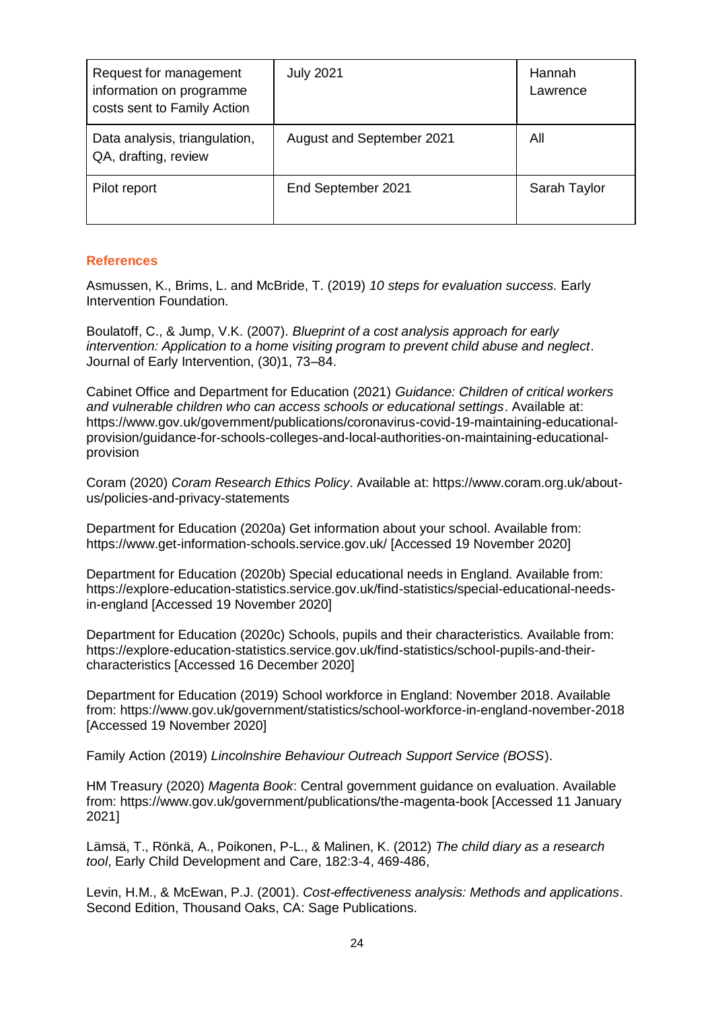| Request for management<br>information on programme<br>costs sent to Family Action | <b>July 2021</b>          | Hannah<br>Lawrence |
|-----------------------------------------------------------------------------------|---------------------------|--------------------|
| Data analysis, triangulation,<br>QA, drafting, review                             | August and September 2021 | All                |
| Pilot report                                                                      | End September 2021        | Sarah Taylor       |

# <span id="page-23-0"></span>**References**

Asmussen, K., Brims, L. and McBride, T. (2019) *10 steps for evaluation success.* Early Intervention Foundation.

Boulatoff, C., & Jump, V.K. (2007). *Blueprint of a cost analysis approach for early intervention: Application to a home visiting program to prevent child abuse and neglect*. Journal of Early Intervention, (30)1, 73–84.

Cabinet Office and Department for Education (2021) *Guidance: Children of critical workers and vulnerable children who can access schools or educational settings*. Available at: https://www.gov.uk/government/publications/coronavirus-covid-19-maintaining-educationalprovision/guidance-for-schools-colleges-and-local-authorities-on-maintaining-educationalprovision

Coram (2020) *Coram Research Ethics Policy*. Available at: [https://www.coram.org.uk/about](https://www.coram.org.uk/about-us/policies-and-privacy-statements)[us/policies-and-privacy-statements](https://www.coram.org.uk/about-us/policies-and-privacy-statements)

Department for Education (2020a) Get information about your school. Available from: https://www.get-information-schools.service.gov.uk/ [Accessed 19 November 2020]

Department for Education (2020b) Special educational needs in England. Available from: https://explore-education-statistics.service.gov.uk/find-statistics/special-educational-needsin-england [Accessed 19 November 2020]

Department for Education (2020c) Schools, pupils and their characteristics. Available from: [https://explore-education-statistics.service.gov.uk/find-statistics/school-pupils-and-their](https://explore-education-statistics.service.gov.uk/find-statistics/school-pupils-and-their-characteristics)[characteristics](https://explore-education-statistics.service.gov.uk/find-statistics/school-pupils-and-their-characteristics) [Accessed 16 December 2020]

Department for Education (2019) School workforce in England: November 2018. Available from: https://www.gov.uk/government/statistics/school-workforce-in-england-november-2018 [Accessed 19 November 2020]

Family Action (2019) *Lincolnshire Behaviour Outreach Support Service (BOSS*).

HM Treasury (2020) *Magenta Book*: Central government guidance on evaluation. Available from: https://www.gov.uk/government/publications/the-magenta-book [Accessed 11 January 2021]

Lämsä, T., Rönkä, A., Poikonen, P-L., & Malinen, K. (2012) *The child diary as a research tool*, Early Child Development and Care, 182:3-4, 469-486,

Levin, H.M., & McEwan, P.J. (2001). *Cost-effectiveness analysis: Methods and applications*. Second Edition, Thousand Oaks, CA: Sage Publications.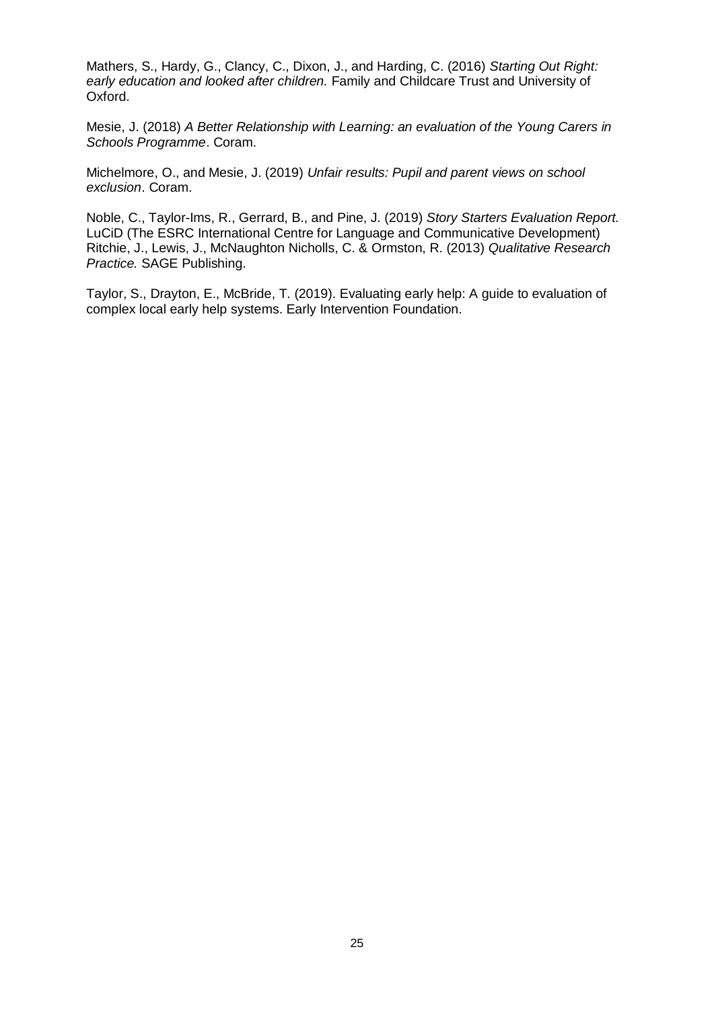Mathers, S., Hardy, G., Clancy, C., Dixon, J., and Harding, C. (2016) *Starting Out Right: early education and looked after children.* Family and Childcare Trust and University of Oxford.

Mesie, J. (2018) *A Better Relationship with Learning: an evaluation of the Young Carers in Schools Programme*. Coram.

Michelmore, O., and Mesie, J. (2019) *Unfair results: Pupil and parent views on school exclusion*. Coram.

Noble, C., Taylor-Ims, R., Gerrard, B., and Pine, J. (2019) *Story Starters Evaluation Report.* LuCiD (The ESRC International Centre for Language and Communicative Development) Ritchie, J., Lewis, J., McNaughton Nicholls, C. & Ormston, R. (2013) *Qualitative Research Practice.* SAGE Publishing.

Taylor, S., Drayton, E., McBride, T. (2019). Evaluating early help: A guide to evaluation of complex local early help systems. Early Intervention Foundation.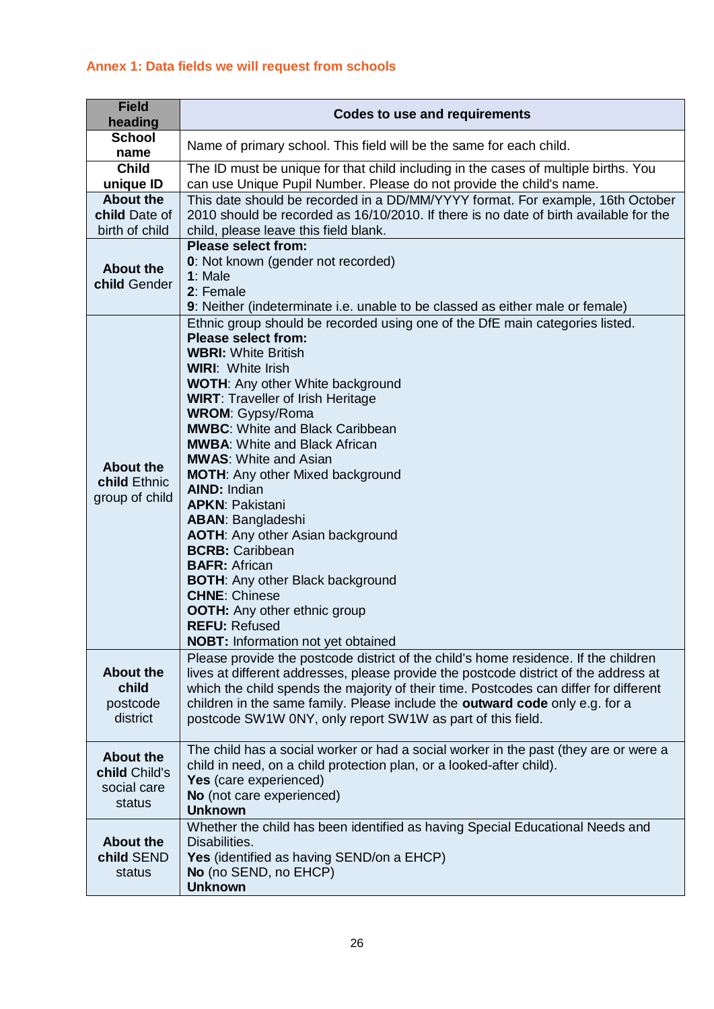# <span id="page-25-0"></span>**Annex 1: Data fields we will request from schools**

| <b>Field</b><br>heading                                    | <b>Codes to use and requirements</b>                                                                                                                                                                                                                                                                                                                                                                                                                                                                                                                                                                                                                                                                                                                                                                         |
|------------------------------------------------------------|--------------------------------------------------------------------------------------------------------------------------------------------------------------------------------------------------------------------------------------------------------------------------------------------------------------------------------------------------------------------------------------------------------------------------------------------------------------------------------------------------------------------------------------------------------------------------------------------------------------------------------------------------------------------------------------------------------------------------------------------------------------------------------------------------------------|
| <b>School</b><br>name                                      | Name of primary school. This field will be the same for each child.                                                                                                                                                                                                                                                                                                                                                                                                                                                                                                                                                                                                                                                                                                                                          |
| <b>Child</b><br>unique ID                                  | The ID must be unique for that child including in the cases of multiple births. You<br>can use Unique Pupil Number. Please do not provide the child's name.                                                                                                                                                                                                                                                                                                                                                                                                                                                                                                                                                                                                                                                  |
| <b>About the</b><br>child Date of<br>birth of child        | This date should be recorded in a DD/MM/YYYY format. For example, 16th October<br>2010 should be recorded as 16/10/2010. If there is no date of birth available for the<br>child, please leave this field blank.                                                                                                                                                                                                                                                                                                                                                                                                                                                                                                                                                                                             |
| <b>About the</b><br>child Gender                           | <b>Please select from:</b><br>0: Not known (gender not recorded)<br>$1:$ Male<br>2: Female<br>9: Neither (indeterminate i.e. unable to be classed as either male or female)                                                                                                                                                                                                                                                                                                                                                                                                                                                                                                                                                                                                                                  |
| <b>About the</b><br>child Ethnic<br>group of child         | Ethnic group should be recorded using one of the DfE main categories listed.<br><b>Please select from:</b><br><b>WBRI: White British</b><br><b>WIRI: White Irish</b><br><b>WOTH: Any other White background</b><br><b>WIRT: Traveller of Irish Heritage</b><br><b>WROM: Gypsy/Roma</b><br><b>MWBC:</b> White and Black Caribbean<br><b>MWBA: White and Black African</b><br><b>MWAS: White and Asian</b><br><b>MOTH:</b> Any other Mixed background<br><b>AIND: Indian</b><br><b>APKN: Pakistani</b><br><b>ABAN: Bangladeshi</b><br><b>AOTH:</b> Any other Asian background<br><b>BCRB: Caribbean</b><br><b>BAFR: African</b><br><b>BOTH: Any other Black background</b><br><b>CHNE: Chinese</b><br><b>OOTH:</b> Any other ethnic group<br><b>REFU: Refused</b><br><b>NOBT:</b> Information not yet obtained |
| <b>About the</b><br>child<br>postcode<br>district          | Please provide the postcode district of the child's home residence. If the children<br>lives at different addresses, please provide the postcode district of the address at<br>which the child spends the majority of their time. Postcodes can differ for different<br>children in the same family. Please include the <b>outward code</b> only e.g. for a<br>postcode SW1W 0NY, only report SW1W as part of this field.                                                                                                                                                                                                                                                                                                                                                                                    |
| <b>About the</b><br>child Child's<br>social care<br>status | The child has a social worker or had a social worker in the past (they are or were a<br>child in need, on a child protection plan, or a looked-after child).<br>Yes (care experienced)<br>No (not care experienced)<br><b>Unknown</b>                                                                                                                                                                                                                                                                                                                                                                                                                                                                                                                                                                        |
| <b>About the</b><br>child SEND<br>status                   | Whether the child has been identified as having Special Educational Needs and<br>Disabilities.<br><b>Yes</b> (identified as having SEND/on a EHCP)<br>No (no SEND, no EHCP)<br><b>Unknown</b>                                                                                                                                                                                                                                                                                                                                                                                                                                                                                                                                                                                                                |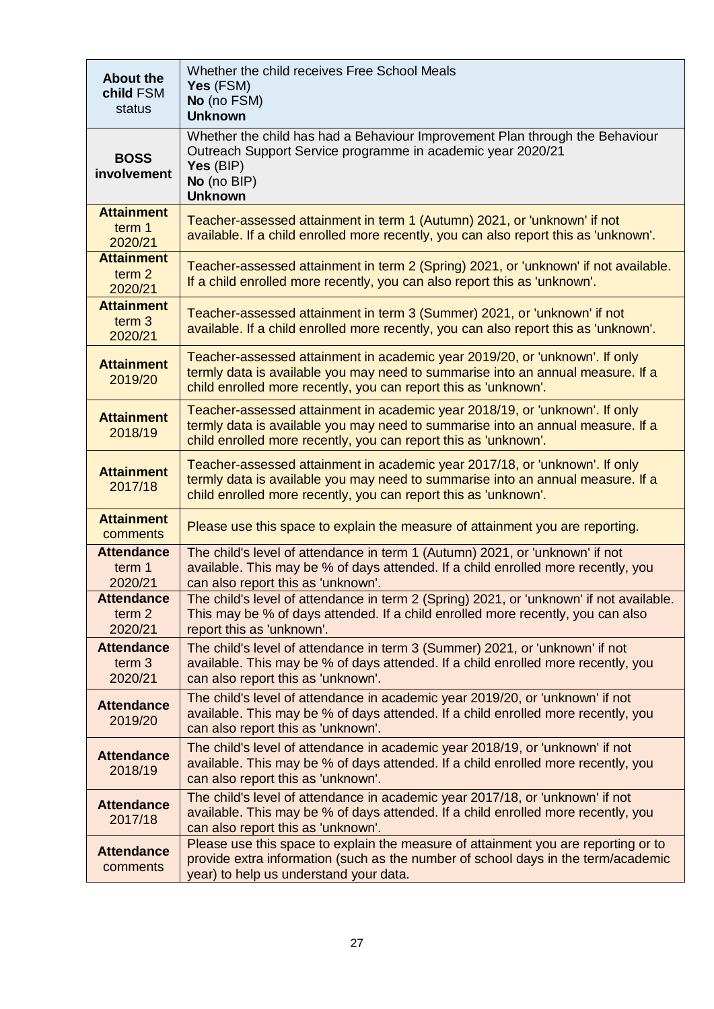| <b>About the</b><br>child FSM<br>status           | Whether the child receives Free School Meals<br>Yes (FSM)<br>No (no FSM)<br><b>Unknown</b>                                                                                                                                        |
|---------------------------------------------------|-----------------------------------------------------------------------------------------------------------------------------------------------------------------------------------------------------------------------------------|
| <b>BOSS</b><br>involvement                        | Whether the child has had a Behaviour Improvement Plan through the Behaviour<br>Outreach Support Service programme in academic year 2020/21<br>Yes (BIP)<br>No (no BIP)<br><b>Unknown</b>                                         |
| <b>Attainment</b><br>term 1<br>2020/21            | Teacher-assessed attainment in term 1 (Autumn) 2021, or 'unknown' if not<br>available. If a child enrolled more recently, you can also report this as 'unknown'.                                                                  |
| <b>Attainment</b><br>term <sub>2</sub><br>2020/21 | Teacher-assessed attainment in term 2 (Spring) 2021, or 'unknown' if not available.<br>If a child enrolled more recently, you can also report this as 'unknown'.                                                                  |
| <b>Attainment</b><br>term <sub>3</sub><br>2020/21 | Teacher-assessed attainment in term 3 (Summer) 2021, or 'unknown' if not<br>available. If a child enrolled more recently, you can also report this as 'unknown'.                                                                  |
| <b>Attainment</b><br>2019/20                      | Teacher-assessed attainment in academic year 2019/20, or 'unknown'. If only<br>termly data is available you may need to summarise into an annual measure. If a<br>child enrolled more recently, you can report this as 'unknown'. |
| <b>Attainment</b><br>2018/19                      | Teacher-assessed attainment in academic year 2018/19, or 'unknown'. If only<br>termly data is available you may need to summarise into an annual measure. If a<br>child enrolled more recently, you can report this as 'unknown'. |
| <b>Attainment</b><br>2017/18                      | Teacher-assessed attainment in academic year 2017/18, or 'unknown'. If only<br>termly data is available you may need to summarise into an annual measure. If a<br>child enrolled more recently, you can report this as 'unknown'. |
| <b>Attainment</b><br>comments                     | Please use this space to explain the measure of attainment you are reporting.                                                                                                                                                     |
| <b>Attendance</b><br>term 1<br>2020/21            | The child's level of attendance in term 1 (Autumn) 2021, or 'unknown' if not<br>available. This may be % of days attended. If a child enrolled more recently, you<br>can also report this as 'unknown'.                           |
| <b>Attendance</b><br>term <sub>2</sub><br>2020/21 | The child's level of attendance in term 2 (Spring) 2021, or 'unknown' if not available.<br>This may be % of days attended. If a child enrolled more recently, you can also<br>report this as 'unknown'.                           |
| <b>Attendance</b><br>term <sub>3</sub><br>2020/21 | The child's level of attendance in term 3 (Summer) 2021, or 'unknown' if not<br>available. This may be % of days attended. If a child enrolled more recently, you<br>can also report this as 'unknown'.                           |
| <b>Attendance</b><br>2019/20                      | The child's level of attendance in academic year 2019/20, or 'unknown' if not<br>available. This may be % of days attended. If a child enrolled more recently, you<br>can also report this as 'unknown'.                          |
| <b>Attendance</b><br>2018/19                      | The child's level of attendance in academic year 2018/19, or 'unknown' if not<br>available. This may be % of days attended. If a child enrolled more recently, you<br>can also report this as 'unknown'.                          |
| <b>Attendance</b><br>2017/18                      | The child's level of attendance in academic year 2017/18, or 'unknown' if not<br>available. This may be % of days attended. If a child enrolled more recently, you<br>can also report this as 'unknown'.                          |
| <b>Attendance</b><br>comments                     | Please use this space to explain the measure of attainment you are reporting or to<br>provide extra information (such as the number of school days in the term/academic<br>year) to help us understand your data.                 |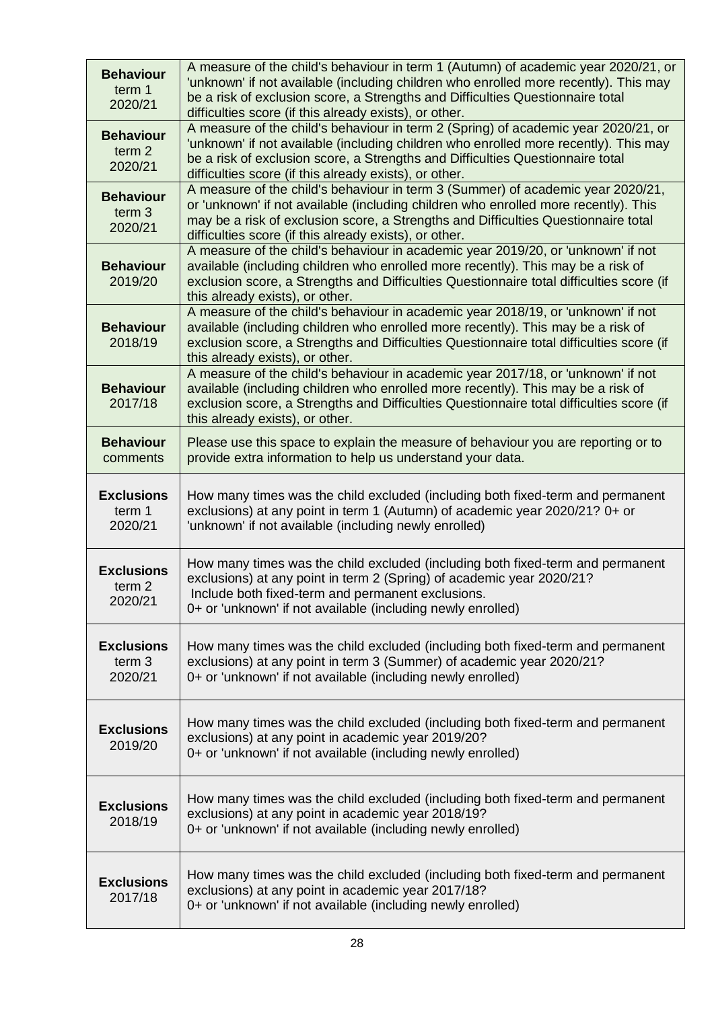| <b>Behaviour</b><br>term 1<br>2020/21             | A measure of the child's behaviour in term 1 (Autumn) of academic year 2020/21, or<br>'unknown' if not available (including children who enrolled more recently). This may<br>be a risk of exclusion score, a Strengths and Difficulties Questionnaire total<br>difficulties score (if this already exists), or other. |
|---------------------------------------------------|------------------------------------------------------------------------------------------------------------------------------------------------------------------------------------------------------------------------------------------------------------------------------------------------------------------------|
| <b>Behaviour</b><br>term <sub>2</sub><br>2020/21  | A measure of the child's behaviour in term 2 (Spring) of academic year 2020/21, or<br>'unknown' if not available (including children who enrolled more recently). This may<br>be a risk of exclusion score, a Strengths and Difficulties Questionnaire total<br>difficulties score (if this already exists), or other. |
| <b>Behaviour</b><br>term 3<br>2020/21             | A measure of the child's behaviour in term 3 (Summer) of academic year 2020/21,<br>or 'unknown' if not available (including children who enrolled more recently). This<br>may be a risk of exclusion score, a Strengths and Difficulties Questionnaire total<br>difficulties score (if this already exists), or other. |
| <b>Behaviour</b><br>2019/20                       | A measure of the child's behaviour in academic year 2019/20, or 'unknown' if not<br>available (including children who enrolled more recently). This may be a risk of<br>exclusion score, a Strengths and Difficulties Questionnaire total difficulties score (if<br>this already exists), or other.                    |
| <b>Behaviour</b><br>2018/19                       | A measure of the child's behaviour in academic year 2018/19, or 'unknown' if not<br>available (including children who enrolled more recently). This may be a risk of<br>exclusion score, a Strengths and Difficulties Questionnaire total difficulties score (if<br>this already exists), or other.                    |
| <b>Behaviour</b><br>2017/18                       | A measure of the child's behaviour in academic year 2017/18, or 'unknown' if not<br>available (including children who enrolled more recently). This may be a risk of<br>exclusion score, a Strengths and Difficulties Questionnaire total difficulties score (if<br>this already exists), or other.                    |
| <b>Behaviour</b><br>comments                      | Please use this space to explain the measure of behaviour you are reporting or to<br>provide extra information to help us understand your data.                                                                                                                                                                        |
| <b>Exclusions</b><br>term 1<br>2020/21            | How many times was the child excluded (including both fixed-term and permanent<br>exclusions) at any point in term 1 (Autumn) of academic year 2020/21? 0+ or<br>'unknown' if not available (including newly enrolled)                                                                                                 |
| <b>Exclusions</b><br>term <sub>2</sub><br>2020/21 | How many times was the child excluded (including both fixed-term and permanent<br>exclusions) at any point in term 2 (Spring) of academic year 2020/21?<br>Include both fixed-term and permanent exclusions.<br>0+ or 'unknown' if not available (including newly enrolled)                                            |
| <b>Exclusions</b><br>term <sub>3</sub><br>2020/21 | How many times was the child excluded (including both fixed-term and permanent<br>exclusions) at any point in term 3 (Summer) of academic year 2020/21?<br>0+ or 'unknown' if not available (including newly enrolled)                                                                                                 |
| <b>Exclusions</b><br>2019/20                      | How many times was the child excluded (including both fixed-term and permanent<br>exclusions) at any point in academic year 2019/20?<br>0+ or 'unknown' if not available (including newly enrolled)                                                                                                                    |
| <b>Exclusions</b><br>2018/19                      | How many times was the child excluded (including both fixed-term and permanent<br>exclusions) at any point in academic year 2018/19?<br>0+ or 'unknown' if not available (including newly enrolled)                                                                                                                    |
| <b>Exclusions</b><br>2017/18                      | How many times was the child excluded (including both fixed-term and permanent<br>exclusions) at any point in academic year 2017/18?<br>0+ or 'unknown' if not available (including newly enrolled)                                                                                                                    |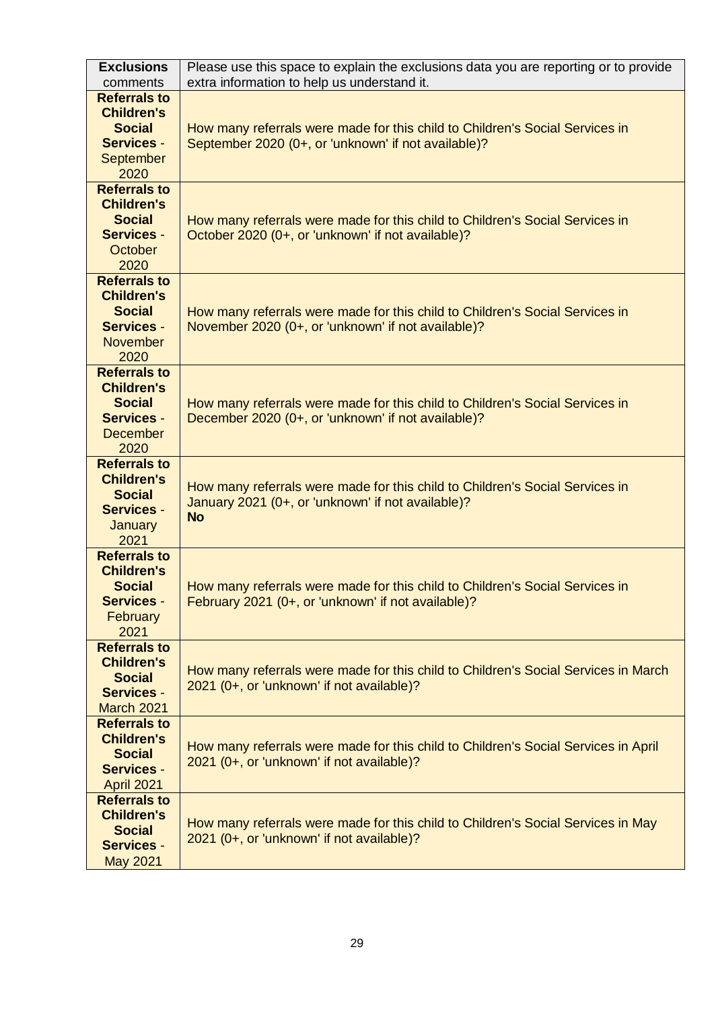| <b>Exclusions</b><br>comments                                                                             | Please use this space to explain the exclusions data you are reporting or to provide<br>extra information to help us understand it.            |
|-----------------------------------------------------------------------------------------------------------|------------------------------------------------------------------------------------------------------------------------------------------------|
| <b>Referrals to</b><br><b>Children's</b><br><b>Social</b><br><b>Services -</b><br>September<br>2020       | How many referrals were made for this child to Children's Social Services in<br>September 2020 (0+, or 'unknown' if not available)?            |
| <b>Referrals to</b><br><b>Children's</b><br><b>Social</b><br><b>Services -</b><br>October<br>2020         | How many referrals were made for this child to Children's Social Services in<br>October 2020 (0+, or 'unknown' if not available)?              |
| <b>Referrals to</b><br><b>Children's</b><br><b>Social</b><br><b>Services -</b><br><b>November</b><br>2020 | How many referrals were made for this child to Children's Social Services in<br>November 2020 (0+, or 'unknown' if not available)?             |
| <b>Referrals to</b><br><b>Children's</b><br><b>Social</b><br><b>Services -</b><br><b>December</b><br>2020 | How many referrals were made for this child to Children's Social Services in<br>December 2020 (0+, or 'unknown' if not available)?             |
| <b>Referrals to</b><br><b>Children's</b><br><b>Social</b><br><b>Services -</b><br>January<br>2021         | How many referrals were made for this child to Children's Social Services in<br>January 2021 (0+, or 'unknown' if not available)?<br><b>No</b> |
| <b>Referrals to</b><br><b>Children's</b><br><b>Social</b><br><b>Services -</b><br><b>February</b><br>2021 | How many referrals were made for this child to Children's Social Services in<br>February 2021 (0+, or 'unknown' if not available)?             |
| <b>Referrals to</b><br><b>Children's</b><br><b>Social</b><br><b>Services -</b><br>March 2021              | How many referrals were made for this child to Children's Social Services in March<br>2021 (0+, or 'unknown' if not available)?                |
| <b>Referrals to</b><br><b>Children's</b><br><b>Social</b><br><b>Services -</b><br><b>April 2021</b>       | How many referrals were made for this child to Children's Social Services in April<br>2021 (0+, or 'unknown' if not available)?                |
| <b>Referrals to</b><br><b>Children's</b><br><b>Social</b><br><b>Services -</b><br><b>May 2021</b>         | How many referrals were made for this child to Children's Social Services in May<br>2021 (0+, or 'unknown' if not available)?                  |